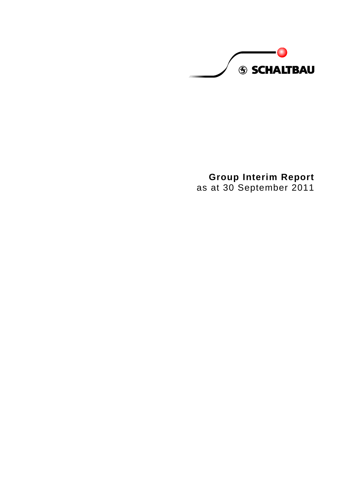**S SCHALTBAU** 

**Group Interim Report** as at 30 September 2011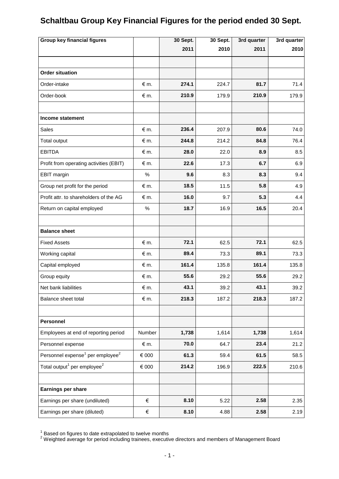# **Schaltbau Group Key Financial Figures for the period ended 30 Sept.**

| <b>Group key financial figures</b>                       |               | 30 Sept. | $30$ Sept. | 3rd quarter | 3rd quarter |
|----------------------------------------------------------|---------------|----------|------------|-------------|-------------|
|                                                          |               | 2011     | 2010       | 2011        | 2010        |
|                                                          |               |          |            |             |             |
| <b>Order situation</b>                                   |               |          |            |             |             |
| Order-intake                                             | $\notin$ m.   | 274.1    | 224.7      | 81.7        | 71.4        |
| Order-book                                               | $\notin$ m.   | 210.9    | 179.9      | 210.9       | 179.9       |
|                                                          |               |          |            |             |             |
| Income statement                                         |               |          |            |             |             |
| Sales                                                    | $\epsilon$ m. | 236.4    | 207.9      | 80.6        | 74.0        |
| Total output                                             | $\notin$ m.   | 244.8    | 214.2      | 84.8        | 76.4        |
| <b>EBITDA</b>                                            | $\notin$ m.   | 28.0     | 22.0       | 8.9         | 8.5         |
| Profit from operating activities (EBIT)                  | $\notin$ m.   | 22.6     | 17.3       | 6.7         | 6.9         |
| EBIT margin                                              | $\%$          | 9.6      | 8.3        | 8.3         | 9.4         |
| Group net profit for the period                          | $\epsilon$ m. | 18.5     | 11.5       | 5.8         | 4.9         |
| Profit attr. to shareholders of the AG                   | $\epsilon$ m. | 16.0     | 9.7        | 5.3         | 4.4         |
| Return on capital employed                               | $\%$          | 18.7     | 16.9       | 16.5        | 20.4        |
|                                                          |               |          |            |             |             |
| <b>Balance sheet</b>                                     |               |          |            |             |             |
| <b>Fixed Assets</b>                                      | $\epsilon$ m. | 72.1     | 62.5       | 72.1        | 62.5        |
| Working capital                                          | $\epsilon$ m. | 89.4     | 73.3       | 89.1        | 73.3        |
| Capital employed                                         | $\notin$ m.   | 161.4    | 135.8      | 161.4       | 135.8       |
| Group equity                                             | $\notin$ m.   | 55.6     | 29.2       | 55.6        | 29.2        |
| Net bank liabilities                                     | $\notin$ m.   | 43.1     | 39.2       | 43.1        | 39.2        |
| Balance sheet total                                      | $\epsilon$ m. | 218.3    | 187.2      | 218.3       | 187.2       |
|                                                          |               |          |            |             |             |
| Personnel                                                |               |          |            |             |             |
| Employees at end of reporting period                     | Number        | 1,738    | 1,614      | 1,738       | 1,614       |
| Personnel expense                                        | € m.          | 70.0     | 64.7       | 23.4        | 21.2        |
| Personnel expense <sup>1</sup> per employee <sup>2</sup> | $\in$ 000     | 61.3     | 59.4       | 61.5        | 58.5        |
| Total output <sup>1</sup> per employee <sup>2</sup>      | $\in$ 000     | 214.2    | 196.9      | 222.5       | 210.6       |
|                                                          |               |          |            |             |             |
| Earnings per share                                       |               |          |            |             |             |
| Earnings per share (undiluted)                           | €             | 8.10     | 5.22       | 2.58        | 2.35        |
| Earnings per share (diluted)                             | €             | 8.10     | 4.88       | 2.58        | 2.19        |

 $1$  Based on figures to date extrapolated to twelve months

 $2$  Weighted average for period including trainees, executive directors and members of Management Board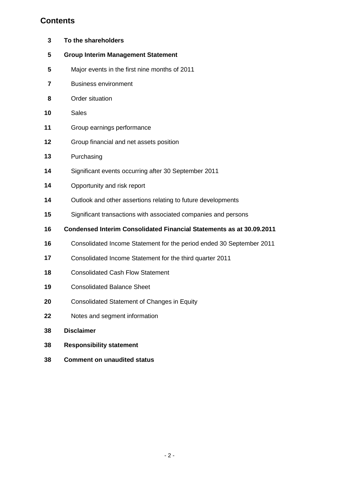# **Contents**

| To the shareholders                                                         |
|-----------------------------------------------------------------------------|
| <b>Group Interim Management Statement</b>                                   |
| Major events in the first nine months of 2011                               |
| <b>Business environment</b>                                                 |
| Order situation                                                             |
| <b>Sales</b>                                                                |
| Group earnings performance                                                  |
| Group financial and net assets position                                     |
| Purchasing                                                                  |
| Significant events occurring after 30 September 2011                        |
| Opportunity and risk report                                                 |
| Outlook and other assertions relating to future developments                |
| Significant transactions with associated companies and persons              |
| <b>Condensed Interim Consolidated Financial Statements as at 30.09.2011</b> |
| Consolidated Income Statement for the period ended 30 September 2011        |
| Consolidated Income Statement for the third quarter 2011                    |
| <b>Consolidated Cash Flow Statement</b>                                     |
| <b>Consolidated Balance Sheet</b>                                           |
| <b>Consolidated Statement of Changes in Equity</b>                          |
| Notes and segment information                                               |
| <b>Disclaimer</b>                                                           |
| <b>Responsibility statement</b>                                             |
| <b>Comment on unaudited status</b>                                          |
|                                                                             |
|                                                                             |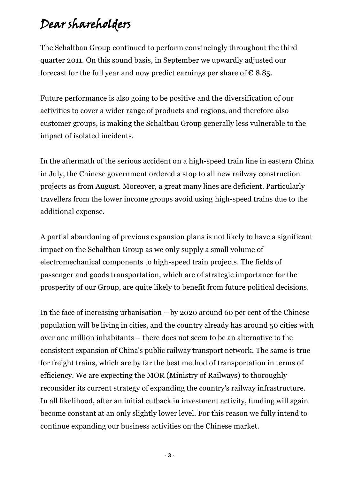# Dear shareholders

The Schaltbau Group continued to perform convincingly throughout the third quarter 2011. On this sound basis, in September we upwardly adjusted our forecast for the full year and now predict earnings per share of  $\epsilon$  8.85.

Future performance is also going to be positive and the diversification of our activities to cover a wider range of products and regions, and therefore also customer groups, is making the Schaltbau Group generally less vulnerable to the impact of isolated incidents.

In the aftermath of the serious accident on a high-speed train line in eastern China in July, the Chinese government ordered a stop to all new railway construction projects as from August. Moreover, a great many lines are deficient. Particularly travellers from the lower income groups avoid using high-speed trains due to the additional expense.

A partial abandoning of previous expansion plans is not likely to have a significant impact on the Schaltbau Group as we only supply a small volume of electromechanical components to high-speed train projects. The fields of passenger and goods transportation, which are of strategic importance for the prosperity of our Group, are quite likely to benefit from future political decisions.

In the face of increasing urbanisation  $-$  by 2020 around 60 per cent of the Chinese population will be living in cities, and the country already has around 50 cities with over one million inhabitants – there does not seem to be an alternative to the consistent expansion of China's public railway transport network. The same is true for freight trains, which are by far the best method of transportation in terms of efficiency. We are expecting the MOR (Ministry of Railways) to thoroughly reconsider its current strategy of expanding the country's railway infrastructure. In all likelihood, after an initial cutback in investment activity, funding will again become constant at an only slightly lower level. For this reason we fully intend to continue expanding our business activities on the Chinese market.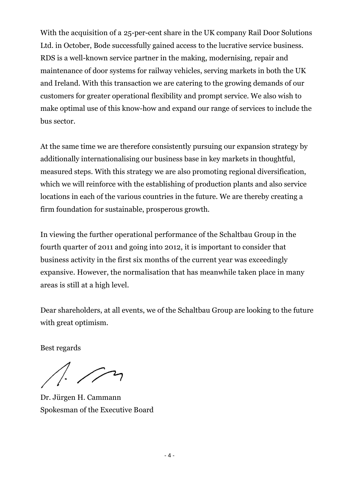With the acquisition of a 25-per-cent share in the UK company Rail Door Solutions Ltd. in October, Bode successfully gained access to the lucrative service business. RDS is a well-known service partner in the making, modernising, repair and maintenance of door systems for railway vehicles, serving markets in both the UK and Ireland. With this transaction we are catering to the growing demands of our customers for greater operational flexibility and prompt service. We also wish to make optimal use of this know-how and expand our range of services to include the bus sector.

At the same time we are therefore consistently pursuing our expansion strategy by additionally internationalising our business base in key markets in thoughtful, measured steps. With this strategy we are also promoting regional diversification, which we will reinforce with the establishing of production plants and also service locations in each of the various countries in the future. We are thereby creating a firm foundation for sustainable, prosperous growth.

In viewing the further operational performance of the Schaltbau Group in the fourth quarter of 2011 and going into 2012, it is important to consider that business activity in the first six months of the current year was exceedingly expansive. However, the normalisation that has meanwhile taken place in many areas is still at a high level.

Dear shareholders, at all events, we of the Schaltbau Group are looking to the future with great optimism.

Best regards

 $\sqrt{2}$ 

Dr. Jürgen H. Cammann Spokesman of the Executive Board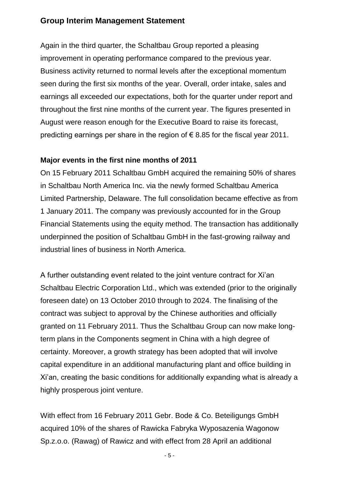# **Group Interim Management Statement**

Again in the third quarter, the Schaltbau Group reported a pleasing improvement in operating performance compared to the previous year. Business activity returned to normal levels after the exceptional momentum seen during the first six months of the year. Overall, order intake, sales and earnings all exceeded our expectations, both for the quarter under report and throughout the first nine months of the current year. The figures presented in August were reason enough for the Executive Board to raise its forecast, predicting earnings per share in the region of  $\epsilon$  8.85 for the fiscal year 2011.

### **Major events in the first nine months of 2011**

On 15 February 2011 Schaltbau GmbH acquired the remaining 50% of shares in Schaltbau North America Inc. via the newly formed Schaltbau America Limited Partnership, Delaware. The full consolidation became effective as from 1 January 2011. The company was previously accounted for in the Group Financial Statements using the equity method. The transaction has additionally underpinned the position of Schaltbau GmbH in the fast-growing railway and industrial lines of business in North America.

A further outstanding event related to the joint venture contract for Xi'an Schaltbau Electric Corporation Ltd., which was extended (prior to the originally foreseen date) on 13 October 2010 through to 2024. The finalising of the contract was subject to approval by the Chinese authorities and officially granted on 11 February 2011. Thus the Schaltbau Group can now make longterm plans in the Components segment in China with a high degree of certainty. Moreover, a growth strategy has been adopted that will involve capital expenditure in an additional manufacturing plant and office building in Xi'an, creating the basic conditions for additionally expanding what is already a highly prosperous joint venture.

With effect from 16 February 2011 Gebr. Bode & Co. Beteiligungs GmbH acquired 10% of the shares of Rawicka Fabryka Wyposazenia Wagonow Sp.z.o.o. (Rawag) of Rawicz and with effect from 28 April an additional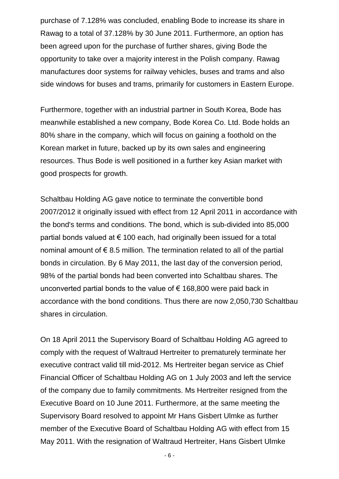purchase of 7.128% was concluded, enabling Bode to increase its share in Rawag to a total of 37.128% by 30 June 2011. Furthermore, an option has been agreed upon for the purchase of further shares, giving Bode the opportunity to take over a majority interest in the Polish company. Rawag manufactures door systems for railway vehicles, buses and trams and also side windows for buses and trams, primarily for customers in Eastern Europe.

Furthermore, together with an industrial partner in South Korea, Bode has meanwhile established a new company, Bode Korea Co. Ltd. Bode holds an 80% share in the company, which will focus on gaining a foothold on the Korean market in future, backed up by its own sales and engineering resources. Thus Bode is well positioned in a further key Asian market with good prospects for growth.

Schaltbau Holding AG gave notice to terminate the convertible bond 2007/2012 it originally issued with effect from 12 April 2011 in accordance with the bond's terms and conditions. The bond, which is sub-divided into 85,000 partial bonds valued at  $\epsilon$  100 each, had originally been issued for a total nominal amount of  $\epsilon$  8.5 million. The termination related to all of the partial bonds in circulation. By 6 May 2011, the last day of the conversion period, 98% of the partial bonds had been converted into Schaltbau shares. The unconverted partial bonds to the value of  $\epsilon$  168,800 were paid back in accordance with the bond conditions. Thus there are now 2,050,730 Schaltbau shares in circulation.

On 18 April 2011 the Supervisory Board of Schaltbau Holding AG agreed to comply with the request of Waltraud Hertreiter to prematurely terminate her executive contract valid till mid-2012. Ms Hertreiter began service as Chief Financial Officer of Schaltbau Holding AG on 1 July 2003 and left the service of the company due to family commitments. Ms Hertreiter resigned from the Executive Board on 10 June 2011. Furthermore, at the same meeting the Supervisory Board resolved to appoint Mr Hans Gisbert Ulmke as further member of the Executive Board of Schaltbau Holding AG with effect from 15 May 2011. With the resignation of Waltraud Hertreiter, Hans Gisbert Ulmke

- 6 -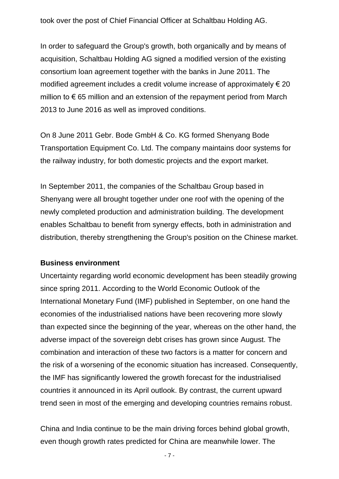took over the post of Chief Financial Officer at Schaltbau Holding AG.

In order to safeguard the Group's growth, both organically and by means of acquisition, Schaltbau Holding AG signed a modified version of the existing consortium loan agreement together with the banks in June 2011. The modified agreement includes a credit volume increase of approximately  $\epsilon$  20 million to  $\epsilon$  65 million and an extension of the repayment period from March 2013 to June 2016 as well as improved conditions.

On 8 June 2011 Gebr. Bode GmbH & Co. KG formed Shenyang Bode Transportation Equipment Co. Ltd. The company maintains door systems for the railway industry, for both domestic projects and the export market.

In September 2011, the companies of the Schaltbau Group based in Shenyang were all brought together under one roof with the opening of the newly completed production and administration building. The development enables Schaltbau to benefit from synergy effects, both in administration and distribution, thereby strengthening the Group's position on the Chinese market.

#### **Business environment**

Uncertainty regarding world economic development has been steadily growing since spring 2011. According to the World Economic Outlook of the International Monetary Fund (IMF) published in September, on one hand the economies of the industrialised nations have been recovering more slowly than expected since the beginning of the year, whereas on the other hand, the adverse impact of the sovereign debt crises has grown since August. The combination and interaction of these two factors is a matter for concern and the risk of a worsening of the economic situation has increased. Consequently, the IMF has significantly lowered the growth forecast for the industrialised countries it announced in its April outlook. By contrast, the current upward trend seen in most of the emerging and developing countries remains robust.

China and India continue to be the main driving forces behind global growth, even though growth rates predicted for China are meanwhile lower. The

- 7 -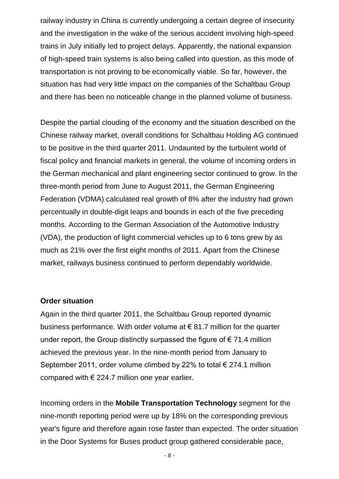railway industry in China is currently undergoing a certain degree of insecurity and the investigation in the wake of the serious accident involving high-speed trains in July initially led to project delays. Apparently, the national expansion of high-speed train systems is also being called into question, as this mode of transportation is not proving to be economically viable. So far, however, the situation has had very little impact on the companies of the Schaltbau Group and there has been no noticeable change in the planned volume of business.

Despite the partial clouding of the economy and the situation described on the Chinese railway market, overall conditions for Schaltbau Holding AG continued to be positive in the third quarter 2011. Undaunted by the turbulent world of fiscal policy and financial markets in general, the volume of incoming orders in the German mechanical and plant engineering sector continued to grow. In the three-month period from June to August 2011, the German Engineering Federation (VDMA) calculated real growth of 8% after the industry had grown percentually in double-digit leaps and bounds in each of the five preceding months. According to the German Association of the Automotive Industry (VDA), the production of light commercial vehicles up to 6 tons grew by as much as 21% over the first eight months of 2011. Apart from the Chinese market, railways business continued to perform dependably worldwide.

#### **Order situation**

Again in the third quarter 2011, the Schaltbau Group reported dynamic business performance. With order volume at € 81.7 million for the quarter under report, the Group distinctly surpassed the figure of  $\epsilon$  71.4 million achieved the previous year. In the nine-month period from January to September 2011, order volume climbed by 22% to total  $\epsilon$  274.1 million compared with  $\epsilon$  224.7 million one year earlier.

Incoming orders in the **Mobile Transportation Technology** segment for the nine-month reporting period were up by 18% on the corresponding previous year's figure and therefore again rose faster than expected. The order situation in the Door Systems for Buses product group gathered considerable pace,

- 8 -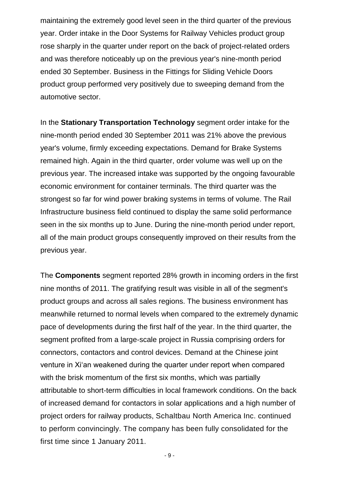maintaining the extremely good level seen in the third quarter of the previous year. Order intake in the Door Systems for Railway Vehicles product group rose sharply in the quarter under report on the back of project-related orders and was therefore noticeably up on the previous year's nine-month period ended 30 September. Business in the Fittings for Sliding Vehicle Doors product group performed very positively due to sweeping demand from the automotive sector.

In the **Stationary Transportation Technology** segment order intake for the nine-month period ended 30 September 2011 was 21% above the previous year's volume, firmly exceeding expectations. Demand for Brake Systems remained high. Again in the third quarter, order volume was well up on the previous year. The increased intake was supported by the ongoing favourable economic environment for container terminals. The third quarter was the strongest so far for wind power braking systems in terms of volume. The Rail Infrastructure business field continued to display the same solid performance seen in the six months up to June. During the nine-month period under report, all of the main product groups consequently improved on their results from the previous year.

The **Components** segment reported 28% growth in incoming orders in the first nine months of 2011. The gratifying result was visible in all of the segment's product groups and across all sales regions. The business environment has meanwhile returned to normal levels when compared to the extremely dynamic pace of developments during the first half of the year. In the third quarter, the segment profited from a large-scale project in Russia comprising orders for connectors, contactors and control devices. Demand at the Chinese joint venture in Xi'an weakened during the quarter under report when compared with the brisk momentum of the first six months, which was partially attributable to short-term difficulties in local framework conditions. On the back of increased demand for contactors in solar applications and a high number of project orders for railway products, Schaltbau North America Inc. continued to perform convincingly. The company has been fully consolidated for the first time since 1 January 2011.

- 9 -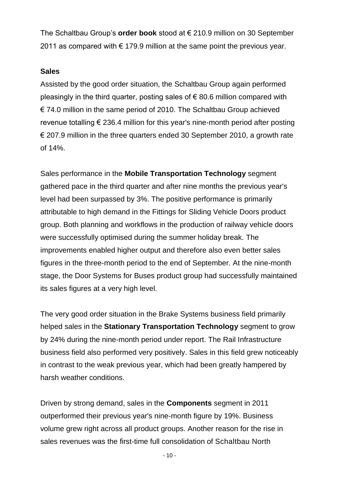The Schaltbau Group's **order book** stood at € 210.9 million on 30 September 2011 as compared with  $\epsilon$  179.9 million at the same point the previous year.

#### **Sales**

Assisted by the good order situation, the Schaltbau Group again performed pleasingly in the third quarter, posting sales of  $\epsilon$  80.6 million compared with € 74.0 million in the same period of 2010. The Schaltbau Group achieved revenue totalling € 236.4 million for this year's nine-month period after posting € 207.9 million in the three quarters ended 30 September 2010, a growth rate of 14%.

Sales performance in the **Mobile Transportation Technology** segment gathered pace in the third quarter and after nine months the previous year's level had been surpassed by 3%. The positive performance is primarily attributable to high demand in the Fittings for Sliding Vehicle Doors product group. Both planning and workflows in the production of railway vehicle doors were successfully optimised during the summer holiday break. The improvements enabled higher output and therefore also even better sales figures in the three-month period to the end of September. At the nine-month stage, the Door Systems for Buses product group had successfully maintained its sales figures at a very high level.

The very good order situation in the Brake Systems business field primarily helped sales in the **Stationary Transportation Technology** segment to grow by 24% during the nine-month period under report. The Rail Infrastructure business field also performed very positively. Sales in this field grew noticeably in contrast to the weak previous year, which had been greatly hampered by harsh weather conditions.

Driven by strong demand, sales in the **Components** segment in 2011 outperformed their previous year's nine-month figure by 19%. Business volume grew right across all product groups. Another reason for the rise in sales revenues was the first-time full consolidation of Schaltbau North

- 10 -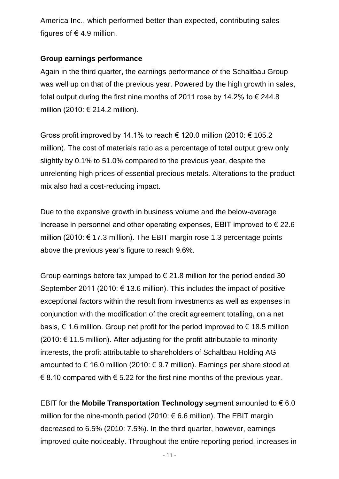America Inc., which performed better than expected, contributing sales figures of  $\epsilon$  4.9 million.

### **Group earnings performance**

Again in the third quarter, the earnings performance of the Schaltbau Group was well up on that of the previous year. Powered by the high growth in sales, total output during the first nine months of 2011 rose by 14.2% to  $\epsilon$  244.8 million (2010: € 214.2 million).

Gross profit improved by 14.1% to reach  $\epsilon$  120.0 million (2010:  $\epsilon$  105.2 million). The cost of materials ratio as a percentage of total output grew only slightly by 0.1% to 51.0% compared to the previous year, despite the unrelenting high prices of essential precious metals. Alterations to the product mix also had a cost-reducing impact.

Due to the expansive growth in business volume and the below-average increase in personnel and other operating expenses, EBIT improved to  $\epsilon$  22.6 million (2010:  $\epsilon$  17.3 million). The EBIT margin rose 1.3 percentage points above the previous year's figure to reach 9.6%.

Group earnings before tax jumped to  $\epsilon$  21.8 million for the period ended 30 September 2011 (2010:  $\epsilon$  13.6 million). This includes the impact of positive exceptional factors within the result from investments as well as expenses in conjunction with the modification of the credit agreement totalling, on a net basis, € 1.6 million. Group net profit for the period improved to € 18.5 million  $(2010: \text{€ } 11.5 \text{ million})$ . After adjusting for the profit attributable to minority interests, the profit attributable to shareholders of Schaltbau Holding AG amounted to  $\epsilon$  16.0 million (2010:  $\epsilon$  9.7 million). Earnings per share stood at € 8.10 compared with  $\epsilon$  5.22 for the first nine months of the previous year.

EBIT for the **Mobile Transportation Technology** segment amounted to  $\epsilon$  6.0 million for the nine-month period (2010: € 6.6 million). The EBIT margin decreased to 6.5% (2010: 7.5%). In the third quarter, however, earnings improved quite noticeably. Throughout the entire reporting period, increases in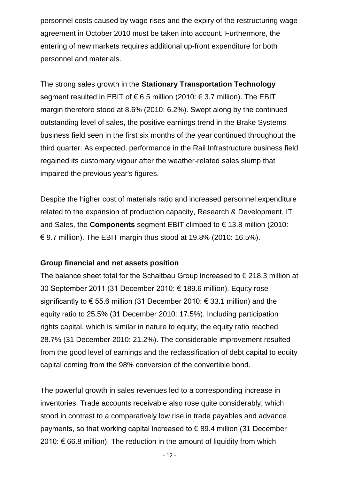personnel costs caused by wage rises and the expiry of the restructuring wage agreement in October 2010 must be taken into account. Furthermore, the entering of new markets requires additional up-front expenditure for both personnel and materials.

The strong sales growth in the **Stationary Transportation Technology** segment resulted in EBIT of  $\epsilon$  6.5 million (2010:  $\epsilon$  3.7 million). The EBIT margin therefore stood at 8.6% (2010: 6.2%). Swept along by the continued outstanding level of sales, the positive earnings trend in the Brake Systems business field seen in the first six months of the year continued throughout the third quarter. As expected, performance in the Rail Infrastructure business field regained its customary vigour after the weather-related sales slump that impaired the previous year's figures.

Despite the higher cost of materials ratio and increased personnel expenditure related to the expansion of production capacity, Research & Development, IT and Sales, the **Components** segment EBIT climbed to € 13.8 million (2010: € 9.7 million). The EBIT margin thus stood at 19.8% (2010: 16.5%).

### **Group financial and net assets position**

The balance sheet total for the Schaltbau Group increased to  $\epsilon$  218.3 million at 30 September 2011 (31 December 2010: € 189.6 million). Equity rose significantly to  $\epsilon$  55.6 million (31 December 2010:  $\epsilon$  33.1 million) and the equity ratio to 25.5% (31 December 2010: 17.5%). Including participation rights capital, which is similar in nature to equity, the equity ratio reached 28.7% (31 December 2010: 21.2%). The considerable improvement resulted from the good level of earnings and the reclassification of debt capital to equity capital coming from the 98% conversion of the convertible bond.

The powerful growth in sales revenues led to a corresponding increase in inventories. Trade accounts receivable also rose quite considerably, which stood in contrast to a comparatively low rise in trade payables and advance payments, so that working capital increased to € 89.4 million (31 December 2010:  $€$  66.8 million). The reduction in the amount of liquidity from which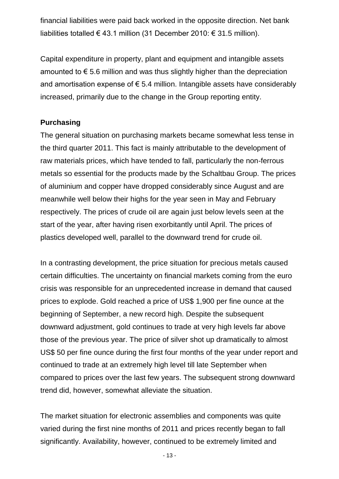financial liabilities were paid back worked in the opposite direction. Net bank liabilities totalled € 43.1 million (31 December 2010: € 31.5 million).

Capital expenditure in property, plant and equipment and intangible assets amounted to  $\epsilon$  5.6 million and was thus slightly higher than the depreciation and amortisation expense of  $\epsilon$  5.4 million. Intangible assets have considerably increased, primarily due to the change in the Group reporting entity.

# **Purchasing**

The general situation on purchasing markets became somewhat less tense in the third quarter 2011. This fact is mainly attributable to the development of raw materials prices, which have tended to fall, particularly the non-ferrous metals so essential for the products made by the Schaltbau Group. The prices of aluminium and copper have dropped considerably since August and are meanwhile well below their highs for the year seen in May and February respectively. The prices of crude oil are again just below levels seen at the start of the year, after having risen exorbitantly until April. The prices of plastics developed well, parallel to the downward trend for crude oil.

In a contrasting development, the price situation for precious metals caused certain difficulties. The uncertainty on financial markets coming from the euro crisis was responsible for an unprecedented increase in demand that caused prices to explode. Gold reached a price of US\$ 1,900 per fine ounce at the beginning of September, a new record high. Despite the subsequent downward adjustment, gold continues to trade at very high levels far above those of the previous year. The price of silver shot up dramatically to almost US\$ 50 per fine ounce during the first four months of the year under report and continued to trade at an extremely high level till late September when compared to prices over the last few years. The subsequent strong downward trend did, however, somewhat alleviate the situation.

The market situation for electronic assemblies and components was quite varied during the first nine months of 2011 and prices recently began to fall significantly. Availability, however, continued to be extremely limited and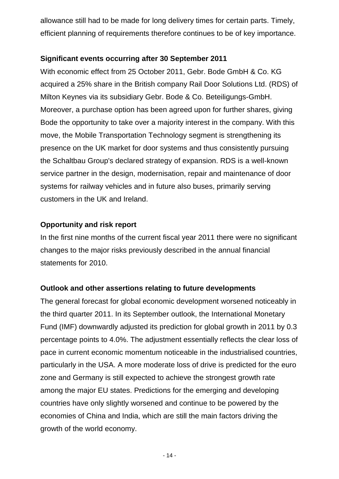allowance still had to be made for long delivery times for certain parts. Timely, efficient planning of requirements therefore continues to be of key importance.

# **Significant events occurring after 30 September 2011**

With economic effect from 25 October 2011, Gebr. Bode GmbH & Co. KG acquired a 25% share in the British company Rail Door Solutions Ltd. (RDS) of Milton Keynes via its subsidiary Gebr. Bode & Co. Beteiligungs-GmbH. Moreover, a purchase option has been agreed upon for further shares, giving Bode the opportunity to take over a majority interest in the company. With this move, the Mobile Transportation Technology segment is strengthening its presence on the UK market for door systems and thus consistently pursuing the Schaltbau Group's declared strategy of expansion. RDS is a well-known service partner in the design, modernisation, repair and maintenance of door systems for railway vehicles and in future also buses, primarily serving customers in the UK and Ireland.

# **Opportunity and risk report**

In the first nine months of the current fiscal year 2011 there were no significant changes to the major risks previously described in the annual financial statements for 2010.

# **Outlook and other assertions relating to future developments**

The general forecast for global economic development worsened noticeably in the third quarter 2011. In its September outlook, the International Monetary Fund (IMF) downwardly adjusted its prediction for global growth in 2011 by 0.3 percentage points to 4.0%. The adjustment essentially reflects the clear loss of pace in current economic momentum noticeable in the industrialised countries, particularly in the USA. A more moderate loss of drive is predicted for the euro zone and Germany is still expected to achieve the strongest growth rate among the major EU states. Predictions for the emerging and developing countries have only slightly worsened and continue to be powered by the economies of China and India, which are still the main factors driving the growth of the world economy.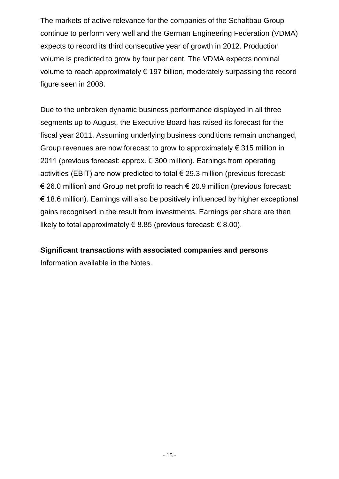The markets of active relevance for the companies of the Schaltbau Group continue to perform very well and the German Engineering Federation (VDMA) expects to record its third consecutive year of growth in 2012. Production volume is predicted to grow by four per cent. The VDMA expects nominal volume to reach approximately  $\epsilon$  197 billion, moderately surpassing the record figure seen in 2008.

Due to the unbroken dynamic business performance displayed in all three segments up to August, the Executive Board has raised its forecast for the fiscal year 2011. Assuming underlying business conditions remain unchanged, Group revenues are now forecast to grow to approximately  $\epsilon$  315 million in 2011 (previous forecast: approx. € 300 million). Earnings from operating activities (EBIT) are now predicted to total  $\epsilon$  29.3 million (previous forecast: € 26.0 million) and Group net profit to reach € 20.9 million (previous forecast: € 18.6 million). Earnings will also be positively influenced by higher exceptional gains recognised in the result from investments. Earnings per share are then likely to total approximately € 8.85 (previous forecast:  $\in$  8.00).

# **Significant transactions with associated companies and persons**

Information available in the Notes.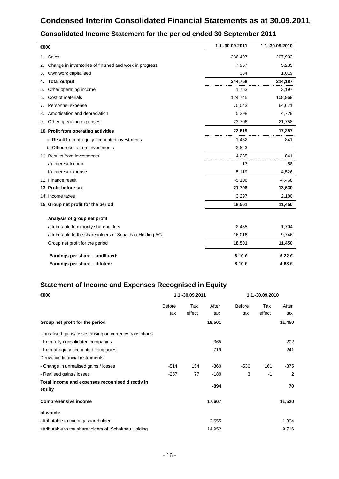# **Condensed Interim Consolidated Financial Statements as at 30.09.2011**

| €000                                                         | 1.1.-30.09.2011 | 1.1.-30.09.2010 |
|--------------------------------------------------------------|-----------------|-----------------|
| Sales<br>1.                                                  | 236,407         | 207,933         |
| Change in inventories of finished and work in progress<br>2. | 7,967           | 5,235           |
| Own work capitalised<br>3.                                   | 384             | 1,019           |
| <b>Total output</b><br>4.                                    | 244,758         | 214,187         |
| Other operating income<br>5.                                 | 1,753           | 3,197           |
| Cost of materials<br>6.                                      | 124,745         | 108,969         |
| Personnel expense<br>7.                                      | 70,043          | 64,671          |
| Amortisation and depreciation<br>8.                          | 5,398           | 4,729           |
| Other operating expenses<br>9.                               | 23,706          | 21,758          |
| 10. Profit from operating activities                         | 22,619          | 17,257          |
| a) Result from at-equity accounted investments               | 1,462           | 841             |
| b) Other results from investments                            | 2,823           |                 |
| 11. Results from investments                                 | 4,285           | 841             |
| a) Interest income                                           | 13              | 58              |
| b) Interest expense                                          | 5,119           | 4,526           |
| 12. Finance result                                           | $-5,106$        | $-4,468$        |
| 13. Profit before tax                                        | 21,798          | 13,630          |
| 14. Income taxes                                             | 3,297           | 2,180           |
| 15. Group net profit for the period                          | 18,501          | 11,450          |
| Analysis of group net profit                                 |                 |                 |
| attributable to minority shareholders                        | 2,485           | 1,704           |
| attributable to the shareholders of Schaltbau Holding AG     | 16,016          | 9,746           |
| Group net profit for the period                              | 18,501          | 11,450          |
| Earnings per share - undiluted:                              | 8.10€           | 5.22€           |
| Earnings per share - diluted:                                | 8.10€           | 4.88€           |

### **Consolidated Income Statement for the period ended 30 September 2011**

## **Statement of Income and Expenses Recognised in Equity**

| €000                                                       |                      | 1.1.-30.09.2011 |              | 1.1.-30.09.2010      |               |              |
|------------------------------------------------------------|----------------------|-----------------|--------------|----------------------|---------------|--------------|
|                                                            | <b>Before</b><br>tax | Tax<br>effect   | After<br>tax | <b>Before</b><br>tax | Tax<br>effect | After<br>tax |
| Group net profit for the period                            |                      |                 | 18,501       |                      |               | 11,450       |
| Unrealised gains/losses arising on currency translations   |                      |                 |              |                      |               |              |
| - from fully consolidated companies                        |                      |                 | 365          |                      |               | 202          |
| - from at-equity accounted companies                       |                      |                 | $-719$       |                      |               | 241          |
| Derivative financial instruments                           |                      |                 |              |                      |               |              |
| - Change in unrealised gains / losses                      | $-514$               | 154             | -360         | $-536$               | 161           | $-375$       |
| - Realised gains / losses                                  | $-257$               | 77              | $-180$       | 3                    | $-1$          | 2            |
| Total income and expenses recognised directly in<br>equity |                      |                 | -894         |                      |               | 70           |
| <b>Comprehensive income</b>                                |                      |                 | 17,607       |                      |               | 11,520       |
| of which:                                                  |                      |                 |              |                      |               |              |
| attributable to minority shareholders                      |                      |                 | 2,655        |                      |               | 1,804        |
| attributable to the shareholders of Schaltbau Holding      |                      |                 | 14,952       |                      |               | 9,716        |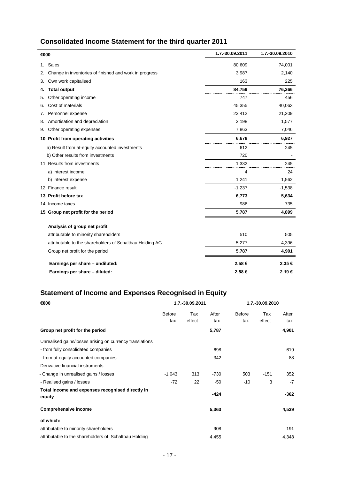# **Consolidated Income Statement for the third quarter 2011**

| €000 |                                                          | 1.7.-30.09.2011 | 1.7.-30.09.2010 |
|------|----------------------------------------------------------|-----------------|-----------------|
| 1.   | Sales                                                    | 80,609          | 74,001          |
| 2.   | Change in inventories of finished and work in progress   | 3,987           | 2,140           |
| 3.   | Own work capitalised                                     | 163             | 225             |
| 4.   | <b>Total output</b>                                      | 84,759          | 76,366          |
| 5.   | Other operating income                                   | 747             | 456             |
| 6.   | Cost of materials                                        | 45,355          | 40,063          |
| 7.   | Personnel expense                                        | 23,412          | 21,209          |
| 8.   | Amortisation and depreciation                            | 2,198           | 1,577           |
| 9.   | Other operating expenses                                 | 7,863           | 7,046           |
|      | 10. Profit from operating activities                     | 6,678           | 6,927           |
|      | a) Result from at-equity accounted investments           | 612             | 245             |
|      | b) Other results from investments                        | 720             |                 |
|      | 11. Results from investments                             | 1,332           | 245             |
|      | a) Interest income                                       | 4               | 24              |
|      | b) Interest expense                                      | 1,241           | 1,562           |
|      | 12. Finance result                                       | $-1,237$        | $-1,538$        |
|      | 13. Profit before tax                                    | 6,773           | 5,634           |
|      | 14. Income taxes                                         | 986             | 735             |
|      | 15. Group net profit for the period                      | 5,787           | 4,899           |
|      | Analysis of group net profit                             |                 |                 |
|      | attributable to minority shareholders                    | 510             | 505             |
|      | attributable to the shareholders of Schaltbau Holding AG | 5,277           | 4,396           |
|      | Group net profit for the period                          | 5,787           | 4,901           |
|      | Earnings per share - undiluted:                          | 2.58€           | 2.35€           |
|      | Earnings per share - diluted:                            | 2.58€           | 2.19€           |
|      |                                                          |                 |                 |

# **Statement of Income and Expenses Recognised in Equity**

| €000                                                       |                      | 1.7.-30.09.2011 |              | 1.7.-30.09.2010      |               |              |
|------------------------------------------------------------|----------------------|-----------------|--------------|----------------------|---------------|--------------|
|                                                            | <b>Before</b><br>tax | Tax<br>effect   | After<br>tax | <b>Before</b><br>tax | Tax<br>effect | After<br>tax |
| Group net profit for the period                            |                      |                 | 5,787        |                      |               | 4,901        |
| Unrealised gains/losses arising on currency translations   |                      |                 |              |                      |               |              |
| - from fully consolidated companies                        |                      |                 | 698          |                      |               | $-619$       |
| - from at-equity accounted companies                       |                      |                 | $-342$       |                      |               | $-88$        |
| Derivative financial instruments                           |                      |                 |              |                      |               |              |
| - Change in unrealised gains / losses                      | $-1,043$             | 313             | $-730$       | 503                  | $-151$        | 352          |
| - Realised gains / losses                                  | $-72$                | 22              | -50          | -10                  | 3             | $-7$         |
| Total income and expenses recognised directly in<br>equity |                      |                 | $-424$       |                      |               | $-362$       |
| <b>Comprehensive income</b>                                |                      |                 | 5,363        |                      |               | 4,539        |
| of which:                                                  |                      |                 |              |                      |               |              |
| attributable to minority shareholders                      |                      |                 | 908          |                      |               | 191          |
| attributable to the shareholders of Schaltbau Holding      |                      |                 | 4,455        |                      |               | 4,348        |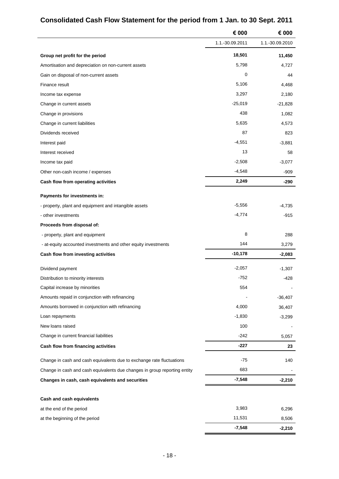|                                                                           | € 000           | € 000           |
|---------------------------------------------------------------------------|-----------------|-----------------|
|                                                                           | 1.1.-30.09.2011 | 1.1.-30.09.2010 |
| Group net profit for the period                                           | 18,501          | 11,450          |
| Amortisation and depreciation on non-current assets                       | 5,798           | 4,727           |
| Gain on disposal of non-current assets                                    | 0               | 44              |
| Finance result                                                            | 5,106           | 4,468           |
| Income tax expense                                                        | 3,297           | 2,180           |
| Change in current assets                                                  | $-25,019$       | $-21,828$       |
| Change in provisions                                                      | 438             | 1,082           |
| Change in current liabilities                                             | 5,635           | 4,573           |
| Dividends received                                                        | 87              | 823             |
| Interest paid                                                             | $-4,551$        | $-3,881$        |
| Interest received                                                         | 13              | 58              |
| Income tax paid                                                           | $-2,508$        | $-3,077$        |
| Other non-cash income / expenses                                          | $-4,548$        | $-909$          |
| Cash flow from operating activities                                       | 2,249           | -290            |
| Payments for investments in:                                              |                 |                 |
| - property, plant and equipment and intangible assets                     | $-5,556$        | $-4,735$        |
| - other investments                                                       | $-4,774$        | $-915$          |
| Proceeds from disposal of:                                                |                 |                 |
| - property, plant and equipment                                           | 8               | 288             |
| - at-equity accounted investments and other equity investments            | 144             | 3,279           |
| Cash flow from investing activities                                       | $-10,178$       | $-2,083$        |
| Dividend payment                                                          | $-2,057$        | $-1,307$        |
| Distribution to minority interests                                        | -752            | $-428$          |
| Capital increase by minorities                                            | 554             |                 |
| Amounts repaid in conjunction with refinancing                            |                 | $-36,407$       |
| Amounts borrowed in conjunction with refinancing                          | 4,000           | 36,407          |
| Loan repayments                                                           | $-1,830$        | $-3,299$        |
| New loans raised                                                          | 100             |                 |
| Change in current financial liabilities                                   | $-242$          | 5,057           |
| Cash flow from financing activities                                       | $-227$          | 23              |
| Change in cash and cash equivalents due to exchange rate fluctuations     | -75             | 140             |
| Change in cash and cash equivalents due changes in group reporting entity | 683             |                 |
| Changes in cash, cash equivalents and securities                          | $-7,548$        | $-2,210$        |
|                                                                           |                 |                 |
| Cash and cash equivalents                                                 | 3,983           | 6,296           |
| at the end of the period<br>at the beginning of the period                | 11,531          | 8,506           |
|                                                                           | $-7,548$        | $-2,210$        |
|                                                                           |                 |                 |

# **Consolidated Cash Flow Statement for the period from 1 Jan. to 30 Sept. 2011**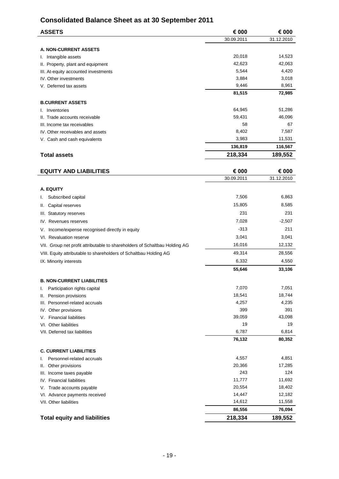# **Consolidated Balance Sheet as at 30 September 2011**

| <b>ASSETS</b>                        | € 000      | € 000      |
|--------------------------------------|------------|------------|
|                                      | 30.09.2011 | 31.12.2010 |
| <b>A. NON-CURRENT ASSETS</b>         |            |            |
| I. Intangible assets                 | 20,018     | 14,523     |
| II. Property, plant and equipment    | 42,623     | 42,063     |
| III. At-equity accounted investments | 5,544      | 4,420      |
| IV. Other investments                | 3,884      | 3,018      |
| V. Deferred tax assets               | 9,446      | 8,961      |
|                                      | 81,515     | 72,985     |
| <b>B.CURRENT ASSETS</b>              |            |            |
| I. Inventories                       | 64,945     | 51,286     |
| II. Trade accounts receivable        | 59,431     | 46,096     |
| III. Income tax receivables          | 58         | 67         |
| IV. Other receivables and assets     | 8,402      | 7,587      |
| V. Cash and cash equivalents         | 3,983      | 11,531     |
|                                      | 136,819    | 116,567    |
| <b>Total assets</b>                  | 218,334    | 189,552    |
| <b>EQUITY AND LIABILITIES</b>        | € 000      | € 000      |
|                                      | 30.09.2011 | 31.12.2010 |
| A. EQUITY                            |            |            |
| Subscribed capital<br>I.             | 7,506      | 6,863      |
| Capital reserves<br>II.              | 15,805     | 8,585      |
| III. Statutory reserves              | 231        | 231        |

| <b>Total equity and liabilities</b>                                        | 218,334 | 189,552  |
|----------------------------------------------------------------------------|---------|----------|
|                                                                            | 86,556  | 76,094   |
| VII. Other liabilities                                                     | 14,612  | 11,558   |
| VI. Advance payments received                                              | 14,447  | 12,182   |
| Trade accounts payable<br>V.                                               | 20,554  | 18,402   |
| IV. Financial liabilities                                                  | 11,777  | 11,692   |
| III. Income taxes payable                                                  | 243     | 124      |
| Other provisions<br>Ш.                                                     | 20,366  | 17,285   |
| Personnel-related accruals<br>ı.                                           | 4,557   | 4,851    |
| <b>C. CURRENT LIABILITIES</b>                                              |         |          |
|                                                                            | 76,132  | 80,352   |
| VII. Deferred tax liabilities                                              | 6,787   | 6,814    |
| VI. Other liabilities                                                      | 19      | 19       |
| <b>Financial liabilities</b><br>V.                                         | 39,059  | 43,098   |
| IV. Other provisions                                                       | 399     | 391      |
| III. Personnel-related accruals                                            | 4,257   | 4,235    |
| Pension provisions<br>Ш.                                                   | 18,541  | 18,744   |
| Participation rights capital<br>ı.                                         | 7,070   | 7,051    |
| <b>B. NON-CURRENT LIABILITIES</b>                                          |         |          |
|                                                                            | 55,646  | 33,106   |
| IX. Minority interests                                                     | 6,332   | 4,550    |
| VIII. Equity attributable to shareholders of Schaltbau Holding AG          | 49,314  | 28,556   |
| VII. Group net profit attributable to shareholders of Schaltbau Holding AG | 16,016  | 12,132   |
| VI. Revaluation reserve                                                    | 3,041   | 3,041    |
| Income/expense recognised directly in equity<br>V.                         | $-313$  | 211      |
| IV. Revenues reserves                                                      | 7,028   | $-2,507$ |
| III. Statutory reserves                                                    | ا ت∠    | اد∠      |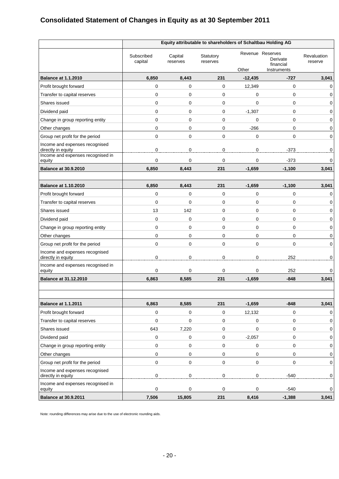# **Consolidated Statement of Changes in Equity as at 30 September 2011**

|                                                      | Equity attributable to shareholders of Schaltbau Holding AG |                     |                       |                |                                                          |                        |
|------------------------------------------------------|-------------------------------------------------------------|---------------------|-----------------------|----------------|----------------------------------------------------------|------------------------|
|                                                      | Subscribed<br>capital                                       | Capital<br>reserves | Statutory<br>reserves | Other          | Revenue Reserves<br>Derivate<br>financial<br>Instruments | Revaluation<br>reserve |
| <b>Balance at 1.1.2010</b>                           | 6,850                                                       | 8,443               | 231                   | $-12,435$      | $-727$                                                   | 3,041                  |
| Profit brought forward                               | 0                                                           | 0                   | $\mathbf 0$           | 12,349         | $\mathbf 0$                                              | 0                      |
| Transfer to capital reserves                         | 0                                                           | 0                   | $\mathbf 0$           | 0              | $\mathbf 0$                                              | 0                      |
| Shares issued                                        | 0                                                           | $\mathbf 0$         | $\mathbf 0$           | 0              | 0                                                        | 0                      |
| Dividend paid                                        | 0                                                           | 0                   | 0                     | $-1,307$       | 0                                                        | 0                      |
| Change in group reporting entity                     | 0                                                           | 0                   | $\mathbf 0$           | 0              | 0                                                        | 0                      |
| Other changes                                        | 0                                                           | 0                   | 0                     | $-266$         | 0                                                        | 0                      |
| Group net profit for the period                      | 0                                                           | $\mathbf 0$         | $\Omega$              | 0              | $\Omega$                                                 | 0                      |
| Income and expenses recognised<br>directly in equity | 0                                                           | 0                   | $\mathbf 0$           | $\mathbf 0$    | $-373$                                                   | 0                      |
| Income and expenses recognised in<br>equity          | 0                                                           | 0                   | $\mathbf 0$           | 0              | $-373$                                                   | 0                      |
| <b>Balance at 30.9.2010</b>                          | 6,850                                                       | 8,443               | 231                   | $-1,659$       | $-1,100$                                                 | 3,041                  |
| <b>Balance at 1.10.2010</b>                          | 6,850                                                       | 8,443               | 231                   | $-1,659$       | $-1,100$                                                 | 3,041                  |
| Profit brought forward                               | 0                                                           | 0                   | $\mathbf 0$           | 0              | 0                                                        | 0                      |
| Transfer to capital reserves                         | 0                                                           | 0                   | $\mathbf 0$           | 0              | 0                                                        | 0                      |
| Shares issued                                        | 13                                                          | 142                 | $\mathbf 0$           | 0              | 0                                                        | 0                      |
| Dividend paid                                        | 0                                                           | $\mathbf 0$         | $\mathbf 0$           | 0              | 0                                                        | 0                      |
| Change in group reporting entity                     | 0                                                           | 0                   | 0                     | 0              | 0                                                        | 0                      |
| Other changes                                        | 0                                                           | 0                   | $\mathbf 0$           | 0              | 0                                                        | 0                      |
| Group net profit for the period                      | 0                                                           | 0                   | $\Omega$              | 0              | $\mathbf 0$                                              | $\mathbf 0$            |
| Income and expenses recognised<br>directly in equity | 0                                                           | $\mathbf 0$         | $\mathbf 0$           | 0              | 252                                                      | 0                      |
| Income and expenses recognised in<br>equity          | 0                                                           | 0                   | $\mathbf 0$           | 0              | 252                                                      | 0                      |
| <b>Balance at 31.12.2010</b>                         | 6,863                                                       | 8,585               | 231                   | $-1,659$       | $-848$                                                   | 3,041                  |
|                                                      |                                                             |                     |                       |                |                                                          |                        |
| <b>Balance at 1.1.2011</b>                           | 6,863                                                       | 8,585               | 231                   | $-1,659$       | $-848$                                                   | 3,041                  |
| Profit brought forward                               | 0                                                           | 0                   | $\pmb{0}$             | 12,132         | 0                                                        | 0                      |
| Transfer to capital reserves                         | 0                                                           | $\pmb{0}$           | $\mathbf 0$           | $\mathbf 0$    | 0                                                        | $\mathbf 0$            |
| Shares issued                                        | 643                                                         | 7,220               | $\mathbf 0$           | 0              | 0                                                        | 0                      |
| Dividend paid                                        | 0                                                           | $\pmb{0}$           | $\mathbf 0$           | $-2,057$       | 0                                                        | 0                      |
| Change in group reporting entity                     | 0                                                           | $\pmb{0}$           | 0                     | 0              | 0                                                        | 0                      |
| Other changes                                        | 0                                                           | $\pmb{0}$           | $\mathbf 0$           | 0              | 0                                                        | 0                      |
| Group net profit for the period                      | $\pmb{0}$                                                   | $\pmb{0}$           | $\pmb{0}$             | 0              | 0                                                        | $\mathbf 0$            |
| Income and expenses recognised<br>directly in equity | 0                                                           | $\overline{0}$      | $\pmb{0}$             | $\overline{0}$ | $-540$                                                   | $\mathbf 0$            |
| Income and expenses recognised in<br>equity          | 0                                                           | 0                   | $\mathbf 0$           | 0              | $-540$                                                   | 0                      |
| <b>Balance at 30.9.2011</b>                          | 7,506                                                       | 15,805              | 231                   | 8,416          | $-1,388$                                                 | 3,041                  |

Note: rounding differences may arise due to the use of electronic rounding aids.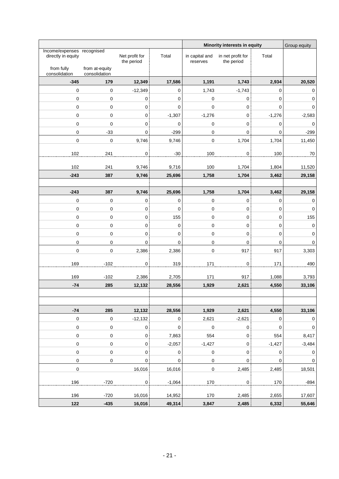|                                                  |                                 |                              |                 |                            | Minority interests in equity    |                  | Group equity     |
|--------------------------------------------------|---------------------------------|------------------------------|-----------------|----------------------------|---------------------------------|------------------|------------------|
| Income/expenses recognised<br>directly in equity |                                 | Net profit for<br>the period | Total           | in capital and<br>reserves | in net profit for<br>the period | Total            |                  |
| from fully<br>consolidation                      | from at-equity<br>consolidation |                              |                 |                            |                                 |                  |                  |
| $-345$                                           | 179                             | 12,349                       | 17,586          | 1,191                      | 1,743                           | 2,934            | 20,520           |
| $\pmb{0}$                                        | $\boldsymbol{0}$                | $-12,349$                    | $\mathbf 0$     | 1,743                      | $-1,743$                        | 0                | 0                |
| $\pmb{0}$                                        | $\boldsymbol{0}$                | $\pmb{0}$                    | $\pmb{0}$       | $\pmb{0}$                  | 0                               | $\pmb{0}$        | 0                |
| $\pmb{0}$                                        | $\pmb{0}$                       | $\pmb{0}$                    | $\mathbf 0$     | $\pmb{0}$                  | $\pmb{0}$                       | $\pmb{0}$        | $\mathbf 0$      |
| $\mathbf 0$                                      | $\mathbf 0$                     | $\mathsf{O}\xspace$          | $-1,307$        | $-1,276$                   | $\pmb{0}$                       | $-1,276$         | $-2,583$         |
| $\mathbf 0$                                      | 0                               | $\mathsf{O}\xspace$          | $\mathbf 0$     | $\pmb{0}$                  | $\mathbf 0$                     | $\pmb{0}$        | $\pmb{0}$        |
| $\mathbf 0$                                      | $-33$                           | $\mathbf 0$                  | $-299$          | $\pmb{0}$                  | $\pmb{0}$                       | $\pmb{0}$        | $-299$           |
| $\pmb{0}$                                        | $\boldsymbol{0}$                | 9,746                        | 9,746           | $\pmb{0}$                  | 1,704                           | 1,704            | 11,450           |
| 102                                              | 241                             | $\mathbf 0$                  | $-30$           | 100                        | $\pmb{0}$                       | 100              | 70               |
|                                                  |                                 |                              |                 |                            |                                 |                  |                  |
| 102<br>$-243$                                    | 241<br>387                      | 9,746<br>9,746               | 9,716<br>25,696 | 100<br>1,758               | 1,704<br>1,704                  | 1,804<br>3,462   | 11,520<br>29,158 |
|                                                  |                                 |                              |                 |                            |                                 |                  |                  |
| $-243$                                           | 387                             | 9,746                        | 25,696          | 1,758                      | 1,704                           | 3,462            | 29,158           |
| $\pmb{0}$                                        | $\pmb{0}$                       | $\pmb{0}$                    | $\pmb{0}$       | $\pmb{0}$                  | $\pmb{0}$                       | $\mathbf 0$      | $\pmb{0}$        |
| $\pmb{0}$                                        | 0                               | 0                            | $\mathbf 0$     | $\pmb{0}$                  | 0                               | 0                | $\pmb{0}$        |
| $\pmb{0}$                                        | $\mathbf 0$                     | 0                            | 155             | 0                          | 0                               | 0                | 155              |
| $\mathbf 0$                                      | $\mathbf 0$                     | $\mathbf 0$                  | $\mathbf 0$     | 0                          | $\mathbf 0$                     | 0                | $\pmb{0}$        |
| $\pmb{0}$                                        | 0                               | 0                            | $\mathbf 0$     | 0                          | 0                               | 0                | 0                |
| $\mathbf 0$                                      | $\pmb{0}$                       | $\mathsf{O}\xspace$          | $\mathbf 0$     | $\pmb{0}$                  | $\pmb{0}$                       | $\pmb{0}$        | $\pmb{0}$        |
| $\pmb{0}$                                        | $\boldsymbol{0}$                | 2,386                        | 2,386           | $\mathbf 0$                | 917                             | 917              | 3,303            |
|                                                  |                                 |                              |                 |                            |                                 |                  |                  |
| 169                                              | $-102$                          | $\pmb{0}$                    | 319             | 171                        | $\pmb{0}$                       | 171              | 490              |
| 169                                              | $-102$                          | 2,386                        | 2,705           | 171                        | 917                             | 1,088            | 3,793            |
| $-74$                                            | 285                             | 12,132                       | 28,556          | 1,929                      | 2,621                           | 4,550            | 33,106           |
|                                                  |                                 |                              |                 |                            |                                 |                  |                  |
|                                                  |                                 |                              |                 |                            |                                 |                  |                  |
| $-74$                                            | 285                             | 12,132                       | 28,556          | 1,929                      | 2,621                           | 4,550            | 33,106           |
| $\pmb{0}$                                        | 0                               | $-12,132$                    | $\mathbf 0$     | 2,621                      | $-2,621$                        | $\mathbf 0$      | 0                |
| $\pmb{0}$                                        | $\pmb{0}$                       | $\pmb{0}$                    | $\pmb{0}$       | $\pmb{0}$                  | $\pmb{0}$                       | $\pmb{0}$        | 0                |
| $\pmb{0}$                                        | 0                               | $\mathsf{O}\xspace$          | 7,863           | 554                        | $\pmb{0}$                       | 554              | 8,417            |
| $\pmb{0}$                                        | $\pmb{0}$                       | $\pmb{0}$                    | $-2,057$        | $-1,427$                   | $\pmb{0}$                       | $-1,427$         | $-3,484$         |
| $\pmb{0}$                                        | 0                               | $\pmb{0}$                    | $\pmb{0}$       | $\mathbf 0$                | $\pmb{0}$                       | $\boldsymbol{0}$ | $\pmb{0}$        |
| $\pmb{0}$                                        | $\mathbf 0$                     | 0                            | 0               | $\pmb{0}$                  | $\pmb{0}$                       | $\mathbf 0$      | 0                |
| $\pmb{0}$                                        |                                 | 16,016                       | 16,016          | $\mathbf 0$                | 2,485                           | 2,485            | 18,501           |
| 196                                              | $-720$                          | $\pmb{0}$                    | $-1,064$        | 170                        | $\pmb{0}$                       | 170              | $-894$           |
|                                                  |                                 |                              |                 |                            |                                 |                  |                  |
| 196                                              | $-720$                          | 16,016                       | 14,952          | 170                        | 2,485                           | 2,655            | 17,607           |
| 122                                              | $-435$                          | 16,016                       | 49,314          | 3,847                      | 2,485                           | 6,332            | 55,646           |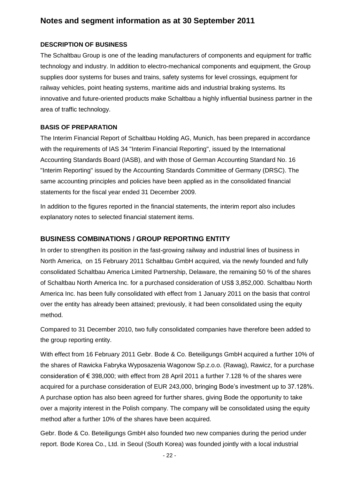# **Notes and segment information as at 30 September 2011**

#### **DESCRIPTION OF BUSINESS**

The Schaltbau Group is one of the leading manufacturers of components and equipment for traffic technology and industry. In addition to electro-mechanical components and equipment, the Group supplies door systems for buses and trains, safety systems for level crossings, equipment for railway vehicles, point heating systems, maritime aids and industrial braking systems. Its innovative and future-oriented products make Schaltbau a highly influential business partner in the area of traffic technology.

#### **BASIS OF PREPARATION**

The Interim Financial Report of Schaltbau Holding AG, Munich, has been prepared in accordance with the requirements of IAS 34 "Interim Financial Reporting", issued by the International Accounting Standards Board (IASB), and with those of German Accounting Standard No. 16 "Interim Reporting" issued by the Accounting Standards Committee of Germany (DRSC). The same accounting principles and policies have been applied as in the consolidated financial statements for the fiscal year ended 31 December 2009.

In addition to the figures reported in the financial statements, the interim report also includes explanatory notes to selected financial statement items.

#### **BUSINESS COMBINATIONS / GROUP REPORTING ENTITY**

In order to strengthen its position in the fast-growing railway and industrial lines of business in North America, on 15 February 2011 Schaltbau GmbH acquired, via the newly founded and fully consolidated Schaltbau America Limited Partnership, Delaware, the remaining 50 % of the shares of Schaltbau North America Inc. for a purchased consideration of US\$ 3,852,000. Schaltbau North America Inc. has been fully consolidated with effect from 1 January 2011 on the basis that control over the entity has already been attained; previously, it had been consolidated using the equity method.

Compared to 31 December 2010, two fully consolidated companies have therefore been added to the group reporting entity.

With effect from 16 February 2011 Gebr. Bode & Co. Beteiligungs GmbH acquired a further 10% of the shares of Rawicka Fabryka Wyposazenia Wagonow Sp.z.o.o. (Rawag), Rawicz, for a purchase consideration of € 398,000; with effect from 28 April 2011 a further 7.128 % of the shares were acquired for a purchase consideration of EUR 243,000, bringing Bode's investment up to 37.128%. A purchase option has also been agreed for further shares, giving Bode the opportunity to take over a majority interest in the Polish company. The company will be consolidated using the equity method after a further 10% of the shares have been acquired.

Gebr. Bode & Co. Beteiligungs GmbH also founded two new companies during the period under report. Bode Korea Co., Ltd. in Seoul (South Korea) was founded jointly with a local industrial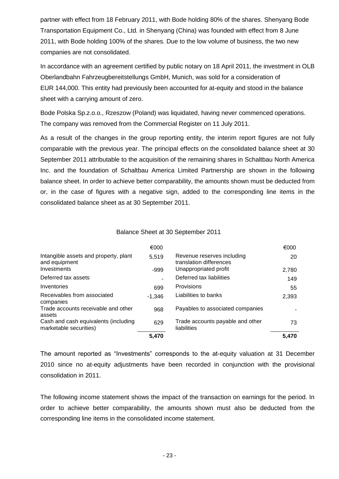partner with effect from 18 February 2011, with Bode holding 80% of the shares. Shenyang Bode Transportation Equipment Co., Ltd. in Shenyang (China) was founded with effect from 8 June 2011, with Bode holding 100% of the shares. Due to the low volume of business, the two new companies are not consolidated.

In accordance with an agreement certified by public notary on 18 April 2011, the investment in OLB Oberlandbahn Fahrzeugbereitstellungs GmbH, Munich, was sold for a consideration of EUR 144,000. This entity had previously been accounted for at-equity and stood in the balance sheet with a carrying amount of zero.

Bode Polska Sp.z.o.o., Rzeszow (Poland) was liquidated, having never commenced operations. The company was removed from the Commercial Register on 11 July 2011.

As a result of the changes in the group reporting entity, the interim report figures are not fully comparable with the previous year. The principal effects on the consolidated balance sheet at 30 September 2011 attributable to the acquisition of the remaining shares in Schaltbau North America Inc. and the foundation of Schaltbau America Limited Partnership are shown in the following balance sheet. In order to achieve better comparability, the amounts shown must be deducted from or, in the case of figures with a negative sign, added to the corresponding line items in the consolidated balance sheet as at 30 September 2011.

#### Balance Sheet at 30 September 2011

|                                                                | €000     |                                                       | €000  |
|----------------------------------------------------------------|----------|-------------------------------------------------------|-------|
| Intangible assets and property, plant<br>and equipment         | 5.519    | Revenue reserves including<br>translation differences | 20    |
| Investments                                                    | $-999$   | Unappropriated profit                                 | 2,780 |
| Deferred tax assets                                            |          | Deferred tax liabilities                              | 149   |
| Inventories                                                    | 699      | Provisions                                            | 55    |
| Receivables from associated<br>companies                       | $-1.346$ | Liabilities to banks                                  | 2,393 |
| Trade accounts receivable and other<br>assets                  | 968      | Payables to associated companies                      |       |
| Cash and cash equivalents (including<br>marketable securities) | 629      | Trade accounts payable and other<br>liabilities       | 73    |
|                                                                | 5,470    |                                                       | 5,470 |

The amount reported as "Investments" corresponds to the at-equity valuation at 31 December 2010 since no at-equity adjustments have been recorded in conjunction with the provisional consolidation in 2011.

The following income statement shows the impact of the transaction on earnings for the period. In order to achieve better comparability, the amounts shown must also be deducted from the corresponding line items in the consolidated income statement.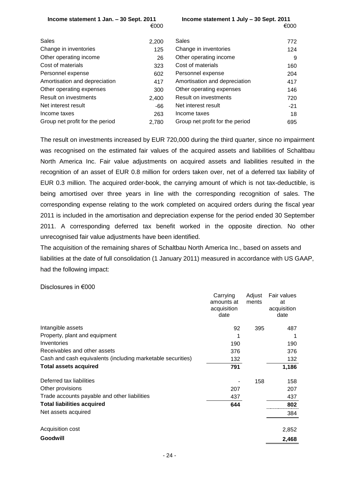| Income statement 1 Jan. - 30 Sept. 2011 |  |      |
|-----------------------------------------|--|------|
|                                         |  | €000 |

**Income statement 1 Jan. – 30 Sept. 2011 Income statement 1 July – 30 Sept. 2011**  $\epsilon$ 000  $\epsilon$ 000  $\epsilon$ 

| Sales                           | 2,200 | <b>Sales</b>                    | 772   |
|---------------------------------|-------|---------------------------------|-------|
| Change in inventories           | 125   | Change in inventories           | 124   |
| Other operating income          | 26    | Other operating income          | 9     |
| Cost of materials               | 323   | Cost of materials               | 160   |
| Personnel expense               | 602   | Personnel expense               | 204   |
| Amortisation and depreciation   | 417   | Amortisation and depreciation   | 417   |
| Other operating expenses        | 300   | Other operating expenses        | 146   |
| Result on investments           | 2,400 | Result on investments           | 720   |
| Net interest result             | -66   | Net interest result             | $-21$ |
| Income taxes                    | 263   | Income taxes                    | 18    |
| Group net profit for the period | 2.780 | Group net profit for the period | 695   |

The result on investments increased by EUR 720,000 during the third quarter, since no impairment was recognised on the estimated fair values of the acquired assets and liabilities of Schaltbau North America Inc. Fair value adjustments on acquired assets and liabilities resulted in the recognition of an asset of EUR 0.8 million for orders taken over, net of a deferred tax liability of EUR 0.3 million. The acquired order-book, the carrying amount of which is not tax-deductible, is being amortised over three years in line with the corresponding recognition of sales. The corresponding expense relating to the work completed on acquired orders during the fiscal year 2011 is included in the amortisation and depreciation expense for the period ended 30 September 2011. A corresponding deferred tax benefit worked in the opposite direction. No other unrecognised fair value adjustments have been identified.

The acquisition of the remaining shares of Schaltbau North America Inc., based on assets and liabilities at the date of full consolidation (1 January 2011) measured in accordance with US GAAP, had the following impact:

#### Disclosures in €000

|                                                             | Carrying<br>amounts at<br>acquisition<br>date | Adjust<br>ments | Fair values<br>at<br>acquisition<br>date |
|-------------------------------------------------------------|-----------------------------------------------|-----------------|------------------------------------------|
| Intangible assets                                           | 92                                            | 395             | 487                                      |
| Property, plant and equipment                               | 1                                             |                 |                                          |
| Inventories                                                 | 190                                           |                 | 190                                      |
| Receivables and other assets                                | 376                                           |                 | 376                                      |
| Cash and cash equivalents (including marketable securities) | 132                                           |                 | 132                                      |
| <b>Total assets acquired</b>                                | 791                                           |                 | 1,186                                    |
| Deferred tax liabilities                                    |                                               | 158             | 158                                      |
| Other provisions                                            | 207                                           |                 | 207                                      |
| Trade accounts payable and other liabilities                | 437                                           |                 | 437                                      |
| <b>Total liabilities acquired</b>                           | 644                                           |                 | 802                                      |
| Net assets acquired                                         |                                               |                 | 384                                      |
| Acquisition cost                                            |                                               |                 | 2,852                                    |
| Goodwill                                                    |                                               |                 | 2,468                                    |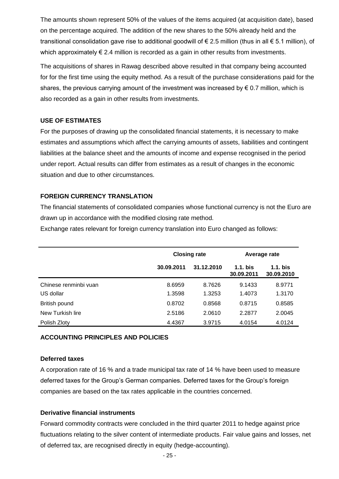The amounts shown represent 50% of the values of the items acquired (at acquisition date), based on the percentage acquired. The addition of the new shares to the 50% already held and the transitional consolidation gave rise to additional goodwill of € 2.5 million (thus in all € 5.1 million), of which approximately € 2.4 million is recorded as a gain in other results from investments.

The acquisitions of shares in Rawag described above resulted in that company being accounted for for the first time using the equity method. As a result of the purchase considerations paid for the shares, the previous carrying amount of the investment was increased by  $\epsilon$  0.7 million, which is also recorded as a gain in other results from investments.

#### **USE OF ESTIMATES**

For the purposes of drawing up the consolidated financial statements, it is necessary to make estimates and assumptions which affect the carrying amounts of assets, liabilities and contingent liabilities at the balance sheet and the amounts of income and expense recognised in the period under report. Actual results can differ from estimates as a result of changes in the economic situation and due to other circumstances.

#### **FOREIGN CURRENCY TRANSLATION**

The financial statements of consolidated companies whose functional currency is not the Euro are drawn up in accordance with the modified closing rate method.

Exchange rates relevant for foreign currency translation into Euro changed as follows:

|                       | <b>Closing rate</b> |            | Average rate             |                          |
|-----------------------|---------------------|------------|--------------------------|--------------------------|
|                       | 30.09.2011          | 31.12.2010 | $1.1.$ bis<br>30.09.2011 | $1.1.$ bis<br>30.09.2010 |
| Chinese renminbi vuan | 8.6959              | 8.7626     | 9.1433                   | 8.9771                   |
| US dollar             | 1.3598              | 1.3253     | 1.4073                   | 1.3170                   |
| British pound         | 0.8702              | 0.8568     | 0.8715                   | 0.8585                   |
| New Turkish lire      | 2.5186              | 2.0610     | 2.2877                   | 2.0045                   |
| Polish Zloty          | 4.4367              | 3.9715     | 4.0154                   | 4.0124                   |

#### **ACCOUNTING PRINCIPLES AND POLICIES**

#### **Deferred taxes**

A corporation rate of 16 % and a trade municipal tax rate of 14 % have been used to measure deferred taxes for the Group's German companies. Deferred taxes for the Group's foreign companies are based on the tax rates applicable in the countries concerned.

#### **Derivative financial instruments**

Forward commodity contracts were concluded in the third quarter 2011 to hedge against price fluctuations relating to the silver content of intermediate products. Fair value gains and losses, net of deferred tax, are recognised directly in equity (hedge-accounting).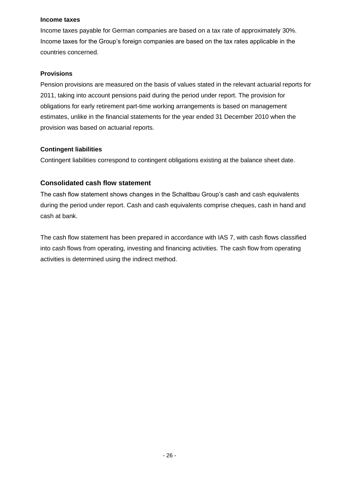#### **Income taxes**

Income taxes payable for German companies are based on a tax rate of approximately 30%. Income taxes for the Group's foreign companies are based on the tax rates applicable in the countries concerned.

#### **Provisions**

Pension provisions are measured on the basis of values stated in the relevant actuarial reports for 2011, taking into account pensions paid during the period under report. The provision for obligations for early retirement part-time working arrangements is based on management estimates, unlike in the financial statements for the year ended 31 December 2010 when the provision was based on actuarial reports.

#### **Contingent liabilities**

Contingent liabilities correspond to contingent obligations existing at the balance sheet date.

#### **Consolidated cash flow statement**

The cash flow statement shows changes in the Schaltbau Group's cash and cash equivalents during the period under report. Cash and cash equivalents comprise cheques, cash in hand and cash at bank.

The cash flow statement has been prepared in accordance with IAS 7, with cash flows classified into cash flows from operating, investing and financing activities. The cash flow from operating activities is determined using the indirect method.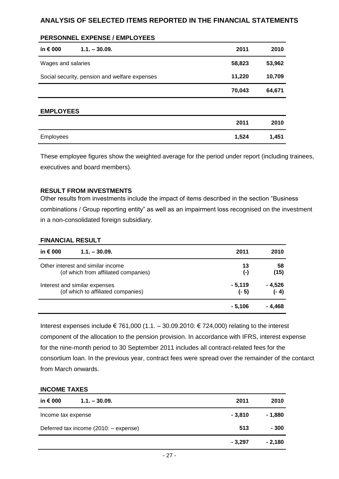### **ANALYSIS OF SELECTED ITEMS REPORTED IN THE FINANCIAL STATEMENTS**

#### **PERSONNEL EXPENSE / EMPLOYEES**

| in $\epsilon$ 000  | $1.1 - 30.09$ .                               | 2011   | 2010   |
|--------------------|-----------------------------------------------|--------|--------|
| Wages and salaries |                                               | 58,823 | 53,962 |
|                    | Social security, pension and welfare expenses | 11,220 | 10,709 |
|                    |                                               | 70,043 | 64,671 |
| <b>EMPLOYEES</b>   |                                               |        |        |
|                    |                                               | 2011   | 2010   |
| <b>Employees</b>   |                                               | 1,524  | 1,451  |

These employee figures show the weighted average for the period under report (including trainees, executives and board members).

#### **RESULT FROM INVESTMENTS**

Other results from investments include the impact of items described in the section "Business combinations / Group reporting entity" as well as an impairment loss recognised on the investment in a non-consolidated foreign subsidiary.

#### **FINANCIAL RESULT**

| in $\epsilon$ 000<br>$1.1 - 30.09.$  | 2011      | 2010    |
|--------------------------------------|-----------|---------|
| Other interest and similar income    | 13        | 58      |
| (of which from affiliated companies) | $(\cdot)$ | (15)    |
| Interest and similar expenses        | $-5,119$  | - 4,526 |
| (of which to affiliated companies)   | (- 5)     | $(-4)$  |
|                                      | - 5.106   | - 4.468 |

Interest expenses include € 761,000 (1.1. – 30.09.2010: € 724,000) relating to the interest component of the allocation to the pension provision. In accordance with IFRS, interest expense for the nine-month period to 30 September 2011 includes all contract-related fees for the consortium loan. In the previous year, contract fees were spread over the remainder of the contarct from March onwards.

#### **INCOME TAXES**

| in € 000<br>$1.1 - 30.09.$            | 2011     | 2010     |
|---------------------------------------|----------|----------|
| Income tax expense                    | $-3,810$ | - 1,880  |
| Deferred tax income (2010: - expense) | 513      | $-300$   |
|                                       | $-3,297$ | $-2,180$ |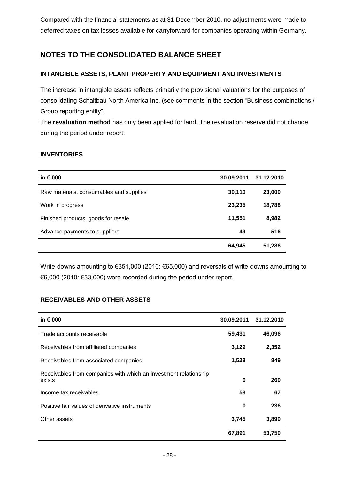Compared with the financial statements as at 31 December 2010, no adjustments were made to deferred taxes on tax losses available for carryforward for companies operating within Germany.

# **NOTES TO THE CONSOLIDATED BALANCE SHEET**

### **INTANGIBLE ASSETS, PLANT PROPERTY AND EQUIPMENT AND INVESTMENTS**

The increase in intangible assets reflects primarily the provisional valuations for the purposes of consolidating Schaltbau North America Inc. (see comments in the section "Business combinations / Group reporting entity".

The **revaluation method** has only been applied for land. The revaluation reserve did not change during the period under report.

#### **INVENTORIES**

| in $\epsilon$ 000                       | 30.09.2011 | 31.12.2010 |
|-----------------------------------------|------------|------------|
| Raw materials, consumables and supplies | 30,110     | 23,000     |
| Work in progress                        | 23,235     | 18,788     |
| Finished products, goods for resale     | 11,551     | 8,982      |
| Advance payments to suppliers           | 49         | 516        |
|                                         | 64,945     | 51,286     |

Write-downs amounting to €351,000 (2010: €65,000) and reversals of write-downs amounting to €6,000 (2010: €33,000) were recorded during the period under report.

#### **RECEIVABLES AND OTHER ASSETS**

| in $\epsilon$ 000                                                          | 30.09.2011 | 31.12.2010 |
|----------------------------------------------------------------------------|------------|------------|
| Trade accounts receivable                                                  | 59,431     | 46,096     |
| Receivables from affiliated companies                                      | 3,129      | 2,352      |
| Receivables from associated companies                                      | 1,528      | 849        |
| Receivables from companies with which an investment relationship<br>exists | 0          | 260        |
| Income tax receivables                                                     | 58         | 67         |
| Positive fair values of derivative instruments                             | 0          | 236        |
| Other assets                                                               | 3,745      | 3,890      |
|                                                                            | 67,891     | 53,750     |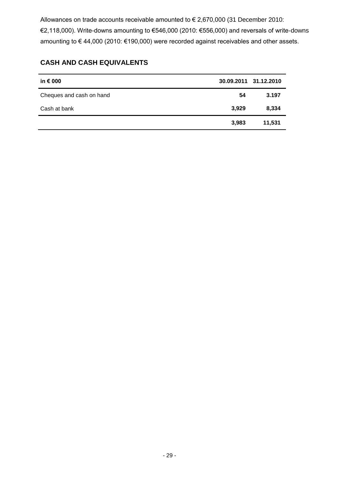Allowances on trade accounts receivable amounted to € 2,670,000 (31 December 2010: €2,118,000). Write-downs amounting to €546,000 (2010: €556,000) and reversals of write-downs amounting to € 44,000 (2010: €190,000) were recorded against receivables and other assets.

# **CASH AND CASH EQUIVALENTS**

| in $\epsilon$ 000        |       | 30.09.2011 31.12.2010 |
|--------------------------|-------|-----------------------|
| Cheques and cash on hand | 54    | 3.197                 |
| Cash at bank             | 3,929 | 8,334                 |
|                          | 3,983 | 11,531                |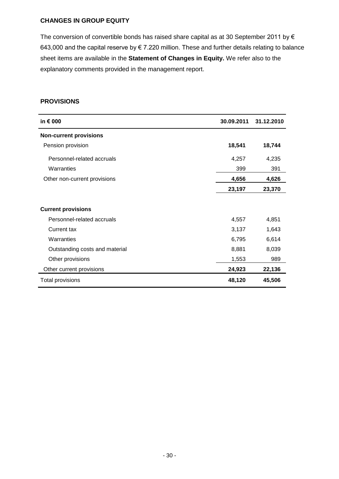#### **CHANGES IN GROUP EQUITY**

The conversion of convertible bonds has raised share capital as at 30 September 2011 by  $\epsilon$ 643,000 and the capital reserve by  $\epsilon$  7.220 million. These and further details relating to balance sheet items are available in the **Statement of Changes in Equity.** We refer also to the explanatory comments provided in the management report.

#### **PROVISIONS**

| in € 000                       | 30.09.2011 | 31.12.2010 |
|--------------------------------|------------|------------|
| <b>Non-current provisions</b>  |            |            |
| Pension provision              | 18,541     | 18,744     |
| Personnel-related accruals     | 4,257      | 4,235      |
| Warranties                     | 399        | 391        |
| Other non-current provisions   | 4,656      | 4,626      |
|                                | 23,197     | 23,370     |
|                                |            |            |
| <b>Current provisions</b>      |            |            |
| Personnel-related accruals     | 4,557      | 4,851      |
| Current tax                    | 3,137      | 1,643      |
| Warranties                     | 6,795      | 6,614      |
| Outstanding costs and material | 8,881      | 8,039      |
| Other provisions               | 1,553      | 989        |
| Other current provisions       | 24,923     | 22,136     |
| Total provisions               | 48,120     | 45,506     |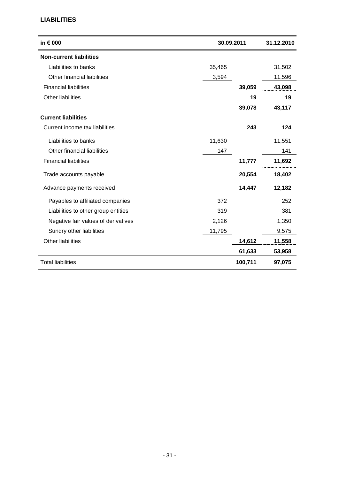#### **LIABILITIES**

| in € 000                            | 30.09.2011 |         | 31.12.2010 |
|-------------------------------------|------------|---------|------------|
| <b>Non-current liabilities</b>      |            |         |            |
| Liabilities to banks                | 35,465     |         | 31,502     |
| Other financial liabilities         | 3,594      |         | 11,596     |
| <b>Financial liabilities</b>        |            | 39,059  | 43,098     |
| Other liabilities                   |            | 19      | 19         |
|                                     |            | 39,078  | 43,117     |
| <b>Current liabilities</b>          |            |         |            |
| Current income tax liabilities      |            | 243     | 124        |
| Liabilities to banks                | 11,630     |         | 11,551     |
| Other financial liabilities         | 147        |         | 141        |
| <b>Financial liabilities</b>        |            | 11,777  | 11,692     |
| Trade accounts payable              |            | 20,554  | 18,402     |
| Advance payments received           |            | 14,447  | 12,182     |
| Payables to affiliated companies    | 372        |         | 252        |
| Liabilities to other group entities | 319        |         | 381        |
| Negative fair values of derivatives | 2,126      |         | 1,350      |
| Sundry other liabilities            | 11,795     |         | 9,575      |
| <b>Other liabilities</b>            |            | 14,612  | 11,558     |
|                                     |            | 61,633  | 53,958     |
| <b>Total liabilities</b>            |            | 100,711 | 97,075     |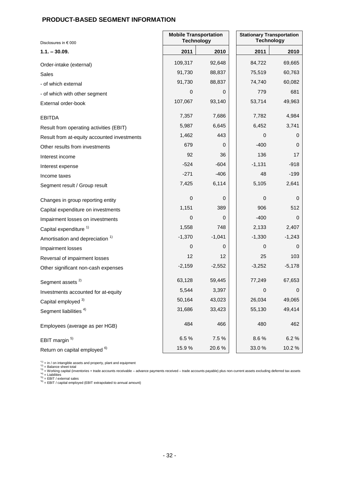### **PRODUCT-BASED SEGMENT INFORMATION**

| Disclosures in € 000                        | <b>Mobile Transportation</b><br><b>Technology</b> |          | <b>Stationary Transportation</b><br><b>Technology</b> |          |  |
|---------------------------------------------|---------------------------------------------------|----------|-------------------------------------------------------|----------|--|
| $1.1. - 30.09.$                             | 2011                                              | 2010     | 2011                                                  | 2010     |  |
| Order-intake (external)                     | 109,317                                           | 92,648   | 84,722                                                | 69,665   |  |
| Sales                                       | 91,730                                            | 88,837   | 75,519                                                | 60,763   |  |
| - of which external                         | 91,730                                            | 88,837   | 74,740                                                | 60,082   |  |
| - of which with other segment               | $\pmb{0}$                                         | 0        | 779                                                   | 681      |  |
| External order-book                         | 107,067                                           | 93,140   | 53,714                                                | 49,963   |  |
| <b>EBITDA</b>                               | 7,357                                             | 7,686    | 7,782                                                 | 4,984    |  |
| Result from operating activities (EBIT)     | 5,987                                             | 6,645    | 6,452                                                 | 3,741    |  |
| Result from at-equity accounted investments | 1,462                                             | 443      | 0                                                     | 0        |  |
| Other results from investments              | 679                                               | 0        | $-400$                                                | 0        |  |
| Interest income                             | 92                                                | 36       | 136                                                   | 17       |  |
| Interest expense                            | $-524$                                            | $-604$   | $-1,131$                                              | $-918$   |  |
| Income taxes                                | $-271$                                            | $-406$   | 48                                                    | $-199$   |  |
| Segment result / Group result               | 7,425                                             | 6,114    | 5,105                                                 | 2,641    |  |
| Changes in group reporting entity           | $\pmb{0}$                                         | 0        | 0                                                     | 0        |  |
| Capital expenditure on investments          | 1,151                                             | 389      | 906                                                   | 512      |  |
| Impairment losses on investments            | $\mathbf 0$                                       | 0        | $-400$                                                | 0        |  |
| Capital expenditure <sup>1)</sup>           | 1,558                                             | 748      | 2,133                                                 | 2,407    |  |
| Amortisation and depreciation <sup>1)</sup> | $-1,370$                                          | $-1,041$ | $-1,330$                                              | $-1,243$ |  |
| Impairment losses                           | 0                                                 | 0        | 0                                                     | 0        |  |
| Reversal of impairment losses               | 12                                                | 12       | 25                                                    | 103      |  |
| Other significant non-cash expenses         | $-2,159$                                          | $-2,552$ | $-3,252$                                              | $-5,178$ |  |
| Segment assets <sup>2)</sup>                | 63,128                                            | 59,445   | 77,249                                                | 67,653   |  |
| Investments accounted for at-equity         | 5,544                                             | 3,397    | $\boldsymbol{0}$                                      | 0        |  |
| Capital employed <sup>3)</sup>              | 50,164                                            | 43,023   | 26,034                                                | 49,065   |  |
| Segment liabilities <sup>4)</sup>           | 31,686                                            | 33,423   | 55,130                                                | 49,414   |  |
| Employees (average as per HGB)              | 484                                               | 466      | 480                                                   | 462      |  |
| EBIT margin <sup>5)</sup>                   | 6.5%                                              | 7.5%     | 8.6%                                                  | 6.2%     |  |
| Return on capital employed 6)               | 15.9%                                             | 20.6%    | 33.0%                                                 | 10.2%    |  |

\*\*) = in / on intangible assets and property, plant and equipment<br>\*2) = Balance sheet total<br>\*3) = Working capital (inventories + trade accounts receivable – advance payments received – trade accounts payable) plus non-curr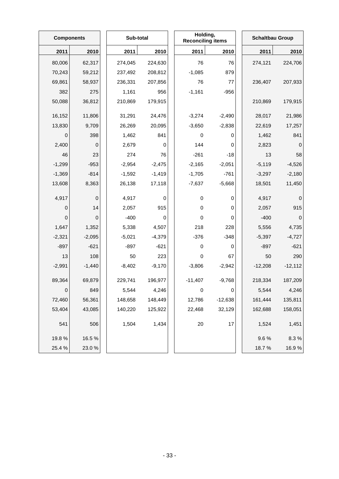|             | <b>Components</b> |  | Sub-total |          | Holding,<br><b>Reconciling items</b> |             | <b>Schaltbau Group</b> |             |
|-------------|-------------------|--|-----------|----------|--------------------------------------|-------------|------------------------|-------------|
| 2011        | 2010              |  | 2011      | 2010     | 2011                                 | 2010        | 2011                   | 2010        |
| 80,006      | 62,317            |  | 274,045   | 224,630  | 76                                   | 76          | 274,121                | 224,706     |
| 70,243      | 59,212            |  | 237,492   | 208,812  | $-1,085$                             | 879         |                        |             |
| 69,861      | 58,937            |  | 236,331   | 207,856  | 76                                   | 77          | 236,407                | 207,933     |
| 382         | 275               |  | 1,161     | 956      | $-1,161$                             | $-956$      |                        |             |
| 50,088      | 36,812            |  | 210,869   | 179,915  |                                      |             | 210,869                | 179,915     |
| 16,152      | 11,806            |  | 31,291    | 24,476   | $-3,274$                             | $-2,490$    | 28,017                 | 21,986      |
| 13,830      | 9,709             |  | 26,269    | 20,095   | $-3,650$                             | $-2,838$    | 22,619                 | 17,257      |
| $\mathbf 0$ | 398               |  | 1,462     | 841      | 0                                    | 0           | 1,462                  | 841         |
| 2,400       | $\mathbf 0$       |  | 2,679     | 0        | 144                                  | 0           | 2,823                  | $\mathbf 0$ |
| 46          | 23                |  | 274       | 76       | $-261$                               | $-18$       | 13                     | 58          |
| $-1,299$    | $-953$            |  | $-2,954$  | $-2,475$ | $-2,165$                             | $-2,051$    | $-5,119$               | $-4,526$    |
| $-1,369$    | $-814$            |  | $-1,592$  | $-1,419$ | $-1,705$                             | $-761$      | $-3,297$               | $-2,180$    |
| 13,608      | 8,363             |  | 26,138    | 17,118   | $-7,637$                             | $-5,668$    | 18,501                 | 11,450      |
| 4,917       | 0                 |  | 4,917     | 0        | 0                                    | 0           | 4,917                  | 0           |
| $\pmb{0}$   | 14                |  | 2,057     | 915      | 0                                    | $\mathbf 0$ | 2,057                  | 915         |
| $\pmb{0}$   | 0                 |  | $-400$    | 0        | 0                                    | 0           | $-400$                 | $\mathbf 0$ |
| 1,647       | 1,352             |  | 5,338     | 4,507    | 218                                  | 228         | 5,556                  | 4,735       |
| $-2,321$    | $-2,095$          |  | $-5,021$  | $-4,379$ | $-376$                               | $-348$      | $-5,397$               | $-4,727$    |
| $-897$      | $-621$            |  | $-897$    | $-621$   | 0                                    | 0           | $-897$                 | $-621$      |
| 13          | 108               |  | 50        | 223      | $\mathbf 0$                          | 67          | 50                     | 290         |
| $-2,991$    | $-1,440$          |  | $-8,402$  | $-9,170$ | $-3,806$                             | $-2,942$    | $-12,208$              | $-12,112$   |
| 89,364      | 69,879            |  | 229,741   | 196,977  | $-11,407$                            | $-9,768$    | 218,334                | 187,209     |
| $\pmb{0}$   | 849               |  | 5,544     | 4,246    | $\pmb{0}$                            | 0           | 5,544                  | 4,246       |
| 72,460      | 56,361            |  | 148,658   | 148,449  | 12,786                               | $-12,638$   | 161,444                | 135,811     |
| 53,404      | 43,085            |  | 140,220   | 125,922  | 22,468                               | 32,129      | 162,688                | 158,051     |
| 541         | 506               |  | 1,504     | 1,434    | $20\,$                               | 17          | 1,524                  | 1,451       |
| 19.8%       | 16.5%             |  |           |          |                                      |             | 9.6%                   | 8.3%        |
| 25.4 %      | 23.0%             |  |           |          |                                      |             | 18.7%                  | 16.9%       |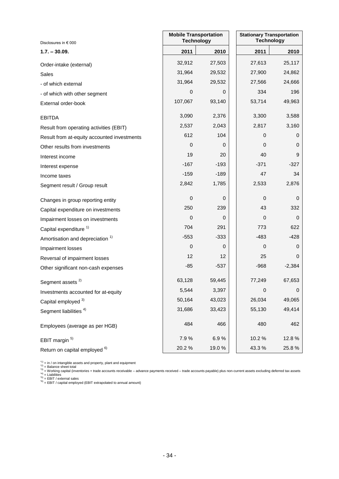| Disclosures in € 000                        |                  | <b>Mobile Transportation</b><br><b>Technology</b> | <b>Stationary Transportation</b> | <b>Technology</b> |
|---------------------------------------------|------------------|---------------------------------------------------|----------------------------------|-------------------|
| $1.7. - 30.09.$                             | 2011             | 2010                                              | 2011                             | 2010              |
| Order-intake (external)                     | 32,912           | 27,503                                            | 27,613                           | 25,117            |
| <b>Sales</b>                                | 31,964           | 29,532                                            | 27,900                           | 24,862            |
| - of which external                         | 31,964           | 29,532                                            | 27,566                           | 24,666            |
| - of which with other segment               | 0                | 0                                                 | 334                              | 196               |
| External order-book                         | 107,067          | 93,140                                            | 53,714                           | 49,963            |
| <b>EBITDA</b>                               | 3,090            | 2,376                                             | 3,300                            | 3,588             |
| Result from operating activities (EBIT)     | 2,537            | 2,043                                             | 2,817                            | 3,160             |
| Result from at-equity accounted investments | 612              | 104                                               | 0                                | 0                 |
| Other results from investments              | 0                | 0                                                 | 0                                | 0                 |
| Interest income                             | 19               | 20                                                | 40                               | 9                 |
| Interest expense                            | $-167$           | $-193$                                            | $-371$                           | $-327$            |
| Income taxes                                | $-159$           | $-189$                                            | 47                               | 34                |
| Segment result / Group result               | 2,842            | 1,785                                             | 2,533                            | 2,876             |
| Changes in group reporting entity           | $\pmb{0}$        | 0                                                 | 0                                | 0                 |
| Capital expenditure on investments          | 250              | 239                                               | 43                               | 332               |
| Impairment losses on investments            | 0                | 0                                                 | 0                                | 0                 |
| Capital expenditure <sup>1)</sup>           | 704              | 291                                               | 773                              | 622               |
| Amortisation and depreciation <sup>1)</sup> | $-553$           | $-333$                                            | $-483$                           | $-428$            |
| Impairment losses                           | $\boldsymbol{0}$ | 0                                                 | 0                                | 0                 |
| Reversal of impairment losses               | 12               | 12                                                | 25                               | 0                 |
| Other significant non-cash expenses         | $-85$            | $-537$                                            | $-968$                           | $-2,384$          |
| Segment assets <sup>2)</sup>                | 63,128           | 59,445                                            | 77,249                           | 67,653            |
| Investments accounted for at-equity         | 5,544            | 3,397                                             | 0                                | 0                 |
| Capital employed 3)                         | 50,164           | 43,023                                            | 26,034                           | 49,065            |
| Segment liabilities <sup>4)</sup>           | 31,686           | 33,423                                            | 55,130                           | 49,414            |
| Employees (average as per HGB)              | 484              | 466                                               | 480                              | 462               |
| EBIT margin <sup>5)</sup>                   | 7.9%             | 6.9%                                              | 10.2%                            | 12.8%             |
| Return on capital employed <sup>6)</sup>    | 20.2%            | 19.0%                                             | 43.3%                            | 25.8%             |

\*\*) = in / on intangible assets and property, plant and equipment<br>\*2) = Balance sheet total<br>\*3) = Working capital (inventories + trade accounts receivable – advance payments received – trade accounts payable) plus non-curr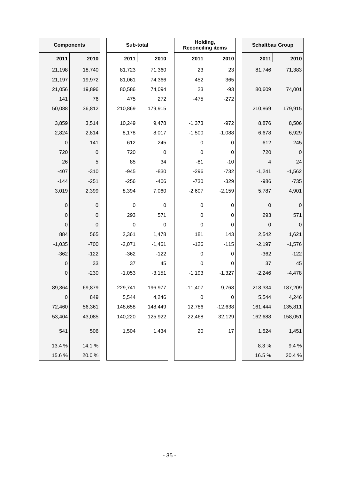|                  | <b>Components</b> |  | Sub-total   |          | Holding,<br><b>Reconciling items</b> |           | <b>Schaltbau Group</b>  |             |
|------------------|-------------------|--|-------------|----------|--------------------------------------|-----------|-------------------------|-------------|
| 2011             | 2010              |  | 2011        | 2010     | 2011                                 | 2010      | 2011                    | 2010        |
| 21,198           | 18,740            |  | 81,723      | 71,360   | 23                                   | 23        | 81,746                  | 71,383      |
| 21,197           | 19,972            |  | 81,061      | 74,366   | 452                                  | 365       |                         |             |
| 21,056           | 19,896            |  | 80,586      | 74,094   | 23                                   | $-93$     | 80,609                  | 74,001      |
| 141              | 76                |  | 475         | 272      | $-475$                               | $-272$    |                         |             |
| 50,088           | 36,812            |  | 210,869     | 179,915  |                                      |           | 210,869                 | 179,915     |
| 3,859            | 3,514             |  | 10,249      | 9,478    | $-1,373$                             | $-972$    | 8,876                   | 8,506       |
| 2,824            | 2,814             |  | 8,178       | 8,017    | $-1,500$                             | $-1,088$  | 6,678                   | 6,929       |
| 0                | 141               |  | 612         | 245      | 0                                    | 0         | 612                     | 245         |
| 720              | 0                 |  | 720         | 0        | $\pmb{0}$                            | 0         | 720                     | $\mathbf 0$ |
| 26               | 5                 |  | 85          | 34       | $-81$                                | $-10$     | $\overline{\mathbf{4}}$ | 24          |
| $-407$           | $-310$            |  | $-945$      | $-830$   | $-296$                               | $-732$    | $-1,241$                | $-1,562$    |
| $-144$           | $-251$            |  | $-256$      | $-406$   | $-730$                               | $-329$    | $-986$                  | $-735$      |
| 3,019            | 2,399             |  | 8,394       | 7,060    | $-2,607$                             | $-2,159$  | 5,787                   | 4,901       |
| $\boldsymbol{0}$ | 0                 |  | $\mathbf 0$ | 0        | $\pmb{0}$                            | 0         | $\pmb{0}$               | $\pmb{0}$   |
| $\boldsymbol{0}$ | 0                 |  | 293         | 571      | 0                                    | 0         | 293                     | 571         |
| $\pmb{0}$        | 0                 |  | $\mathbf 0$ | 0        | 0                                    | 0         | $\mathbf 0$             | $\mathbf 0$ |
| 884              | 565               |  | 2,361       | 1,478    | 181                                  | 143       | 2,542                   | 1,621       |
| $-1,035$         | $-700$            |  | $-2,071$    | $-1,461$ | $-126$                               | $-115$    | $-2,197$                | $-1,576$    |
| $-362$           | $-122$            |  | $-362$      | $-122$   | 0                                    | 0         | $-362$                  | $-122$      |
| $\boldsymbol{0}$ | 33                |  | 37          | 45       | 0                                    | 0         | 37                      | 45          |
| $\boldsymbol{0}$ | $-230$            |  | $-1,053$    | $-3,151$ | $-1,193$                             | $-1,327$  | $-2,246$                | $-4,478$    |
| 89,364           | 69,879            |  | 229,741     | 196,977  | $-11,407$                            | $-9,768$  | 218,334                 | 187,209     |
| $\pmb{0}$        | 849               |  | 5,544       | 4,246    | $\pmb{0}$                            | 0         | 5,544                   | 4,246       |
| 72,460           | 56,361            |  | 148,658     | 148,449  | 12,786                               | $-12,638$ | 161,444                 | 135,811     |
| 53,404           | 43,085            |  | 140,220     | 125,922  | 22,468                               | 32,129    | 162,688                 | 158,051     |
| 541              | 506               |  | 1,504       | 1,434    | $20\,$                               | 17        | 1,524                   | 1,451       |
| 13.4 %           | 14.1%             |  |             |          |                                      |           | 8.3%                    | 9.4%        |
| 15.6%            | 20.0%             |  |             |          |                                      |           | 16.5%                   | 20.4%       |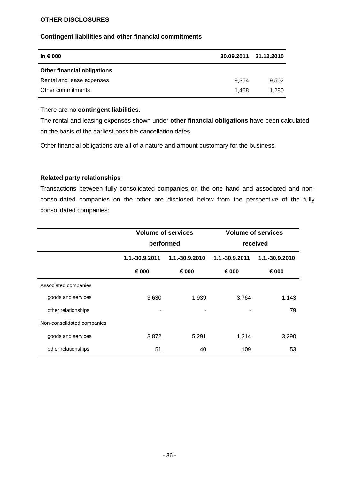#### **OTHER DISCLOSURES**

#### **Contingent liabilities and other financial commitments**

| in € 000                           | 30.09.2011 31.12.2010 |       |
|------------------------------------|-----------------------|-------|
| <b>Other financial obligations</b> |                       |       |
| Rental and lease expenses          | 9.354                 | 9,502 |
| Other commitments                  | 1.468                 | 1.280 |

#### There are no **contingent liabilities**.

The rental and leasing expenses shown under **other financial obligations** have been calculated on the basis of the earliest possible cancellation dates.

Other financial obligations are all of a nature and amount customary for the business.

#### **Related party relationships**

Transactions between fully consolidated companies on the one hand and associated and nonconsolidated companies on the other are disclosed below from the perspective of the fully consolidated companies:

|                            | <b>Volume of services</b> |                | <b>Volume of services</b> |                |  |  |
|----------------------------|---------------------------|----------------|---------------------------|----------------|--|--|
|                            |                           | performed      | received                  |                |  |  |
|                            | 1.1.-30.9.2011            | 1.1.-30.9.2010 | 1.1.-30.9.2011            | 1.1.-30.9.2010 |  |  |
|                            | € 000                     | € 000          | € 000                     | € 000          |  |  |
| Associated companies       |                           |                |                           |                |  |  |
| goods and services         | 3,630                     | 1,939          | 3,764                     | 1,143          |  |  |
| other relationships        | $\blacksquare$            |                |                           | 79             |  |  |
| Non-consolidated companies |                           |                |                           |                |  |  |
| goods and services         | 3,872                     | 5,291          | 1,314                     | 3,290          |  |  |
| other relationships        | 51                        | 40             | 109                       | 53             |  |  |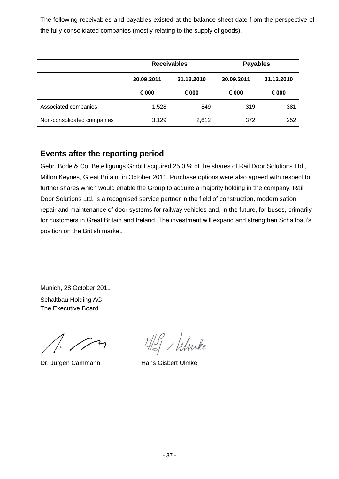The following receivables and payables existed at the balance sheet date from the perspective of the fully consolidated companies (mostly relating to the supply of goods).

|                            | <b>Receivables</b> |            | <b>Payables</b> |            |  |
|----------------------------|--------------------|------------|-----------------|------------|--|
|                            | 30.09.2011         | 31.12.2010 | 30.09.2011      | 31.12.2010 |  |
|                            | € 000              | € 000      | € 000           | € 000      |  |
| Associated companies       | 1,528              | 849        | 319             | 381        |  |
| Non-consolidated companies | 3,129              | 2,612      | 372             | 252        |  |

# **Events after the reporting period**

Gebr. Bode & Co. Beteiligungs GmbH acquired 25.0 % of the shares of Rail Door Solutions Ltd., Milton Keynes, Great Britain*,* in October 2011. Purchase options were also agreed with respect to further shares which would enable the Group to acquire a majority holding in the company. Rail Door Solutions Ltd. is a recognised service partner in the field of construction, modernisation, repair and maintenance of door systems for railway vehicles and, in the future, for buses, primarily for customers in Great Britain and Ireland. The investment will expand and strengthen Schaltbau's position on the British market.

Munich, 28 October 2011 Schaltbau Holding AG The Executive Board

Dr. Jürgen Cammann Hans Gisbert Ulmke

HG. Whike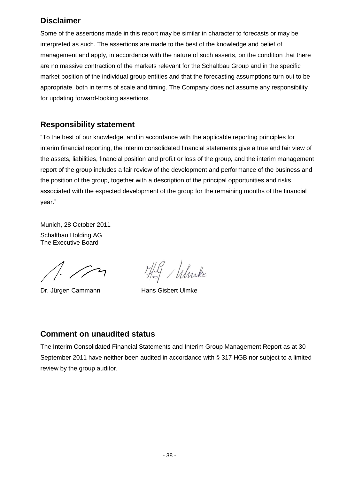# **Disclaimer**

Some of the assertions made in this report may be similar in character to forecasts or may be interpreted as such. The assertions are made to the best of the knowledge and belief of management and apply, in accordance with the nature of such asserts, on the condition that there are no massive contraction of the markets relevant for the Schaltbau Group and in the specific market position of the individual group entities and that the forecasting assumptions turn out to be appropriate, both in terms of scale and timing. The Company does not assume any responsibility for updating forward-looking assertions.

# **Responsibility statement**

"To the best of our knowledge, and in accordance with the applicable reporting principles for interim financial reporting, the interim consolidated financial statements give a true and fair view of the assets, liabilities, financial position and profi.t or loss of the group, and the interim management report of the group includes a fair review of the development and performance of the business and the position of the group, together with a description of the principal opportunities and risks associated with the expected development of the group for the remaining months of the financial year."

Munich, 28 October 2011 Schaltbau Holding AG The Executive Board

Dr. Jürgen Cammann Hans Gisbert Ulmke

HG. Whike

# **Comment on unaudited status**

The Interim Consolidated Financial Statements and Interim Group Management Report as at 30 September 2011 have neither been audited in accordance with § 317 HGB nor subject to a limited review by the group auditor.